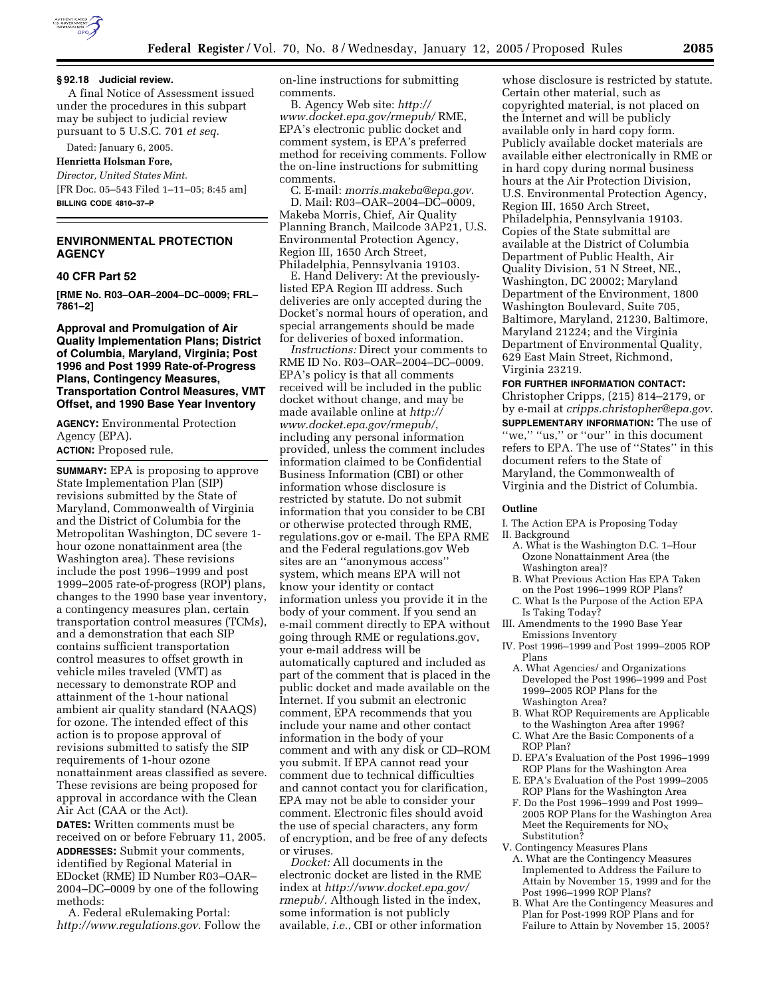

#### **§ 92.18 Judicial review.**

A final Notice of Assessment issued under the procedures in this subpart may be subject to judicial review pursuant to 5 U.S.C. 701 *et seq.*

# Dated: January 6, 2005.

**Henrietta Holsman Fore,** 

*Director, United States Mint.* [FR Doc. 05–543 Filed 1–11–05; 8:45 am] **BILLING CODE 4810–37–P**

## **ENVIRONMENTAL PROTECTION AGENCY**

## **40 CFR Part 52**

**[RME No. R03–OAR–2004–DC–0009; FRL– 7861–2]** 

## **Approval and Promulgation of Air Quality Implementation Plans; District of Columbia, Maryland, Virginia; Post 1996 and Post 1999 Rate-of-Progress Plans, Contingency Measures, Transportation Control Measures, VMT Offset, and 1990 Base Year Inventory**

**AGENCY:** Environmental Protection Agency (EPA).

### **ACTION:** Proposed rule.

**SUMMARY:** EPA is proposing to approve State Implementation Plan (SIP) revisions submitted by the State of Maryland, Commonwealth of Virginia and the District of Columbia for the Metropolitan Washington, DC severe 1 hour ozone nonattainment area (the Washington area). These revisions include the post 1996–1999 and post 1999–2005 rate-of-progress (ROP) plans, changes to the 1990 base year inventory, a contingency measures plan, certain transportation control measures (TCMs), and a demonstration that each SIP contains sufficient transportation control measures to offset growth in vehicle miles traveled (VMT) as necessary to demonstrate ROP and attainment of the 1-hour national ambient air quality standard (NAAQS) for ozone. The intended effect of this action is to propose approval of revisions submitted to satisfy the SIP requirements of 1-hour ozone nonattainment areas classified as severe. These revisions are being proposed for approval in accordance with the Clean Air Act (CAA or the Act). **DATES:** Written comments must be

received on or before February 11, 2005. **ADDRESSES:** Submit your comments, identified by Regional Material in EDocket (RME) ID Number R03–OAR– 2004–DC–0009 by one of the following methods:

A. Federal eRulemaking Portal: *http://www.regulations.gov.* Follow the on-line instructions for submitting comments.

B. Agency Web site: *http:// www.docket.epa.gov/rmepub/* RME, EPA's electronic public docket and comment system, is EPA's preferred method for receiving comments. Follow the on-line instructions for submitting comments.

C. E-mail: *morris.makeba@epa.gov.* D. Mail: R03–OAR–2004–DC–0009, Makeba Morris, Chief, Air Quality Planning Branch, Mailcode 3AP21, U.S. Environmental Protection Agency, Region III, 1650 Arch Street, Philadelphia, Pennsylvania 19103.

E. Hand Delivery: At the previouslylisted EPA Region III address. Such deliveries are only accepted during the Docket's normal hours of operation, and special arrangements should be made for deliveries of boxed information.

*Instructions:* Direct your comments to RME ID No. R03–OAR–2004–DC–0009. EPA's policy is that all comments received will be included in the public docket without change, and may be made available online at *http:// www.docket.epa.gov/rmepub/*, including any personal information provided, unless the comment includes information claimed to be Confidential Business Information (CBI) or other information whose disclosure is restricted by statute. Do not submit information that you consider to be CBI or otherwise protected through RME, regulations.gov or e-mail. The EPA RME and the Federal regulations.gov Web sites are an ''anonymous access'' system, which means EPA will not know your identity or contact information unless you provide it in the body of your comment. If you send an e-mail comment directly to EPA without going through RME or regulations.gov, your e-mail address will be automatically captured and included as part of the comment that is placed in the public docket and made available on the Internet. If you submit an electronic comment, EPA recommends that you include your name and other contact information in the body of your comment and with any disk or CD–ROM you submit. If EPA cannot read your comment due to technical difficulties and cannot contact you for clarification, EPA may not be able to consider your comment. Electronic files should avoid the use of special characters, any form of encryption, and be free of any defects or viruses.

*Docket:* All documents in the electronic docket are listed in the RME index at *http://www.docket.epa.gov/ rmepub/.* Although listed in the index, some information is not publicly available, *i.e.*, CBI or other information

whose disclosure is restricted by statute. Certain other material, such as copyrighted material, is not placed on the Internet and will be publicly available only in hard copy form. Publicly available docket materials are available either electronically in RME or in hard copy during normal business hours at the Air Protection Division, U.S. Environmental Protection Agency, Region III, 1650 Arch Street, Philadelphia, Pennsylvania 19103. Copies of the State submittal are available at the District of Columbia Department of Public Health, Air Quality Division, 51 N Street, NE., Washington, DC 20002; Maryland Department of the Environment, 1800 Washington Boulevard, Suite 705, Baltimore, Maryland, 21230, Baltimore, Maryland 21224; and the Virginia Department of Environmental Quality, 629 East Main Street, Richmond, Virginia 23219.

#### **FOR FURTHER INFORMATION CONTACT:**

Christopher Cripps, (215) 814–2179, or by e-mail at *cripps.christopher@epa.gov.* **SUPPLEMENTARY INFORMATION:** The use of "we," "us," or "our" in this document refers to EPA. The use of ''States'' in this document refers to the State of Maryland, the Commonwealth of Virginia and the District of Columbia.

#### **Outline**

- I. The Action EPA is Proposing Today II. Background
	- A. What is the Washington D.C. 1–Hour Ozone Nonattainment Area (the Washington area)?
	- B. What Previous Action Has EPA Taken on the Post 1996–1999 ROP Plans?
- C. What Is the Purpose of the Action EPA Is Taking Today?
- III. Amendments to the 1990 Base Year Emissions Inventory
- IV. Post 1996–1999 and Post 1999–2005 ROP Plans
	- A. What Agencies/ and Organizations Developed the Post 1996–1999 and Post 1999–2005 ROP Plans for the Washington Area?
	- B. What ROP Requirements are Applicable to the Washington Area after 1996?
	- C. What Are the Basic Components of a ROP Plan?
	- D. EPA's Evaluation of the Post 1996–1999 ROP Plans for the Washington Area
	- E. EPA's Evaluation of the Post 1999–2005 ROP Plans for the Washington Area
	- F. Do the Post 1996–1999 and Post 1999– 2005 ROP Plans for the Washington Area Meet the Requirements for  $NO<sub>x</sub>$ Substitution?
- V. Contingency Measures Plans
	- A. What are the Contingency Measures Implemented to Address the Failure to Attain by November 15, 1999 and for the Post 1996–1999 ROP Plans?
	- B. What Are the Contingency Measures and Plan for Post-1999 ROP Plans and for Failure to Attain by November 15, 2005?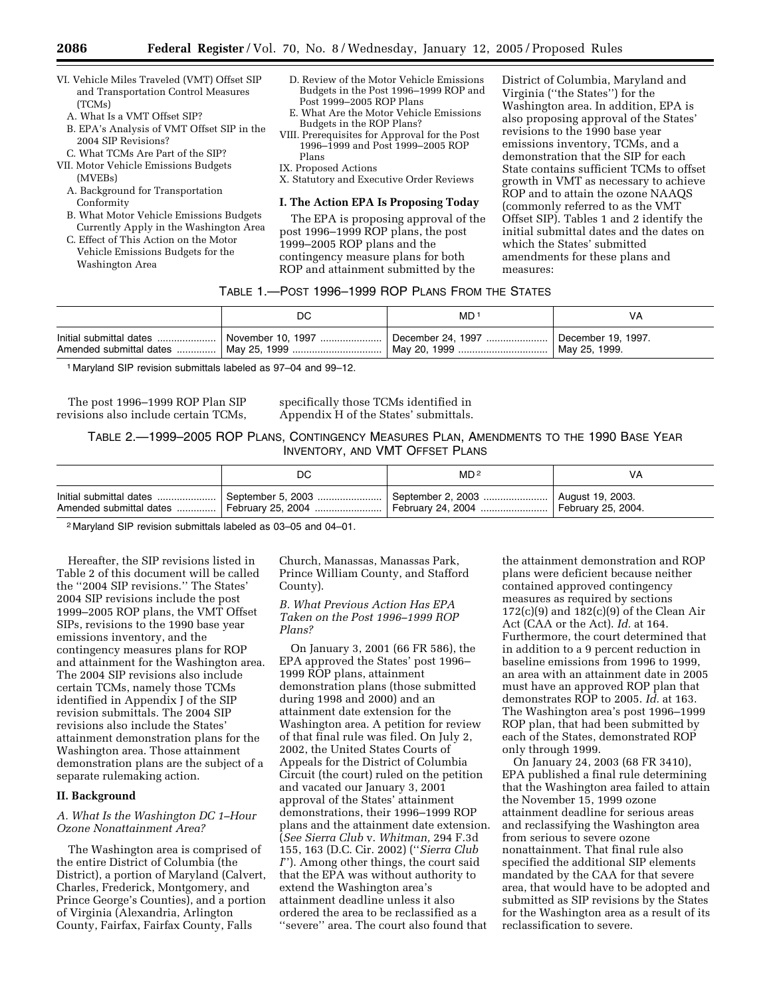- VI. Vehicle Miles Traveled (VMT) Offset SIP and Transportation Control Measures (TCMs)
	- A. What Is a VMT Offset SIP?
	- B. EPA's Analysis of VMT Offset SIP in the 2004 SIP Revisions?
- C. What TCMs Are Part of the SIP?
- VII. Motor Vehicle Emissions Budgets (MVEBs)
	- A. Background for Transportation Conformity
	- B. What Motor Vehicle Emissions Budgets Currently Apply in the Washington Area
	- C. Effect of This Action on the Motor Vehicle Emissions Budgets for the Washington Area
- D. Review of the Motor Vehicle Emissions Budgets in the Post 1996–1999 ROP and Post 1999–2005 ROP Plans
- E. What Are the Motor Vehicle Emissions Budgets in the ROP Plans?
- VIII. Prerequisites for Approval for the Post 1996–1999 and Post 1999–2005 ROP Plans
- IX. Proposed Actions
- X. Statutory and Executive Order Reviews

#### **I. The Action EPA Is Proposing Today**

The EPA is proposing approval of the post 1996–1999 ROP plans, the post 1999–2005 ROP plans and the contingency measure plans for both ROP and attainment submitted by the

District of Columbia, Maryland and Virginia (''the States'') for the Washington area. In addition, EPA is also proposing approval of the States' revisions to the 1990 base year emissions inventory, TCMs, and a demonstration that the SIP for each State contains sufficient TCMs to offset growth in VMT as necessary to achieve ROP and to attain the ozone NAAQS (commonly referred to as the VMT Offset SIP). Tables 1 and 2 identify the initial submittal dates and the dates on which the States' submitted amendments for these plans and measures:

# TABLE 1.—POST 1996–1999 ROP PLANS FROM THE STATES

| DC | MD 1                                                                                    | VA |
|----|-----------------------------------------------------------------------------------------|----|
|    | Initial submittal dates    November 10, 1997    December 24, 1997    December 19, 1997. |    |

1 Maryland SIP revision submittals labeled as 97–04 and 99–12.

The post 1996–1999 ROP Plan SIP revisions also include certain TCMs, specifically those TCMs identified in Appendix H of the States' submittals.

TABLE 2.—1999–2005 ROP PLANS, CONTINGENCY MEASURES PLAN, AMENDMENTS TO THE 1990 BASE YEAR INVENTORY, AND VMT OFFSET PLANS

| DC                                                                                                                                                      | MD <sup>2</sup> | VA                 |
|---------------------------------------------------------------------------------------------------------------------------------------------------------|-----------------|--------------------|
| lnitial submittal dates   September 5, 2003   September 2, 2003   August 19, 2003.<br>Amended submittal dates    February 25, 2004    February 24, 2004 |                 | February 25, 2004. |

2 Maryland SIP revision submittals labeled as 03–05 and 04–01.

Hereafter, the SIP revisions listed in Table 2 of this document will be called the ''2004 SIP revisions.'' The States' 2004 SIP revisions include the post 1999–2005 ROP plans, the VMT Offset SIPs, revisions to the 1990 base year emissions inventory, and the contingency measures plans for ROP and attainment for the Washington area. The 2004 SIP revisions also include certain TCMs, namely those TCMs identified in Appendix J of the SIP revision submittals. The 2004 SIP revisions also include the States' attainment demonstration plans for the Washington area. Those attainment demonstration plans are the subject of a separate rulemaking action.

#### **II. Background**

#### *A. What Is the Washington DC 1–Hour Ozone Nonattainment Area?*

The Washington area is comprised of the entire District of Columbia (the District), a portion of Maryland (Calvert, Charles, Frederick, Montgomery, and Prince George's Counties), and a portion of Virginia (Alexandria, Arlington County, Fairfax, Fairfax County, Falls

Church, Manassas, Manassas Park, Prince William County, and Stafford County).

#### *B. What Previous Action Has EPA Taken on the Post 1996–1999 ROP Plans?*

On January 3, 2001 (66 FR 586), the EPA approved the States' post 1996– 1999 ROP plans, attainment demonstration plans (those submitted during 1998 and 2000) and an attainment date extension for the Washington area. A petition for review of that final rule was filed. On July 2, 2002, the United States Courts of Appeals for the District of Columbia Circuit (the court) ruled on the petition and vacated our January 3, 2001 approval of the States' attainment demonstrations, their 1996–1999 ROP plans and the attainment date extension. (*See Sierra Club* v. *Whitman,* 294 F.3d 155, 163 (D.C. Cir. 2002) (''*Sierra Club I*''). Among other things, the court said that the EPA was without authority to extend the Washington area's attainment deadline unless it also ordered the area to be reclassified as a ''severe'' area. The court also found that

the attainment demonstration and ROP plans were deficient because neither contained approved contingency measures as required by sections  $172(c)(9)$  and  $182(c)(9)$  of the Clean Air Act (CAA or the Act). *Id.* at 164. Furthermore, the court determined that in addition to a 9 percent reduction in baseline emissions from 1996 to 1999, an area with an attainment date in 2005 must have an approved ROP plan that demonstrates ROP to 2005. *Id.* at 163. The Washington area's post 1996–1999 ROP plan, that had been submitted by each of the States, demonstrated ROP only through 1999.

On January 24, 2003 (68 FR 3410), EPA published a final rule determining that the Washington area failed to attain the November 15, 1999 ozone attainment deadline for serious areas and reclassifying the Washington area from serious to severe ozone nonattainment. That final rule also specified the additional SIP elements mandated by the CAA for that severe area, that would have to be adopted and submitted as SIP revisions by the States for the Washington area as a result of its reclassification to severe.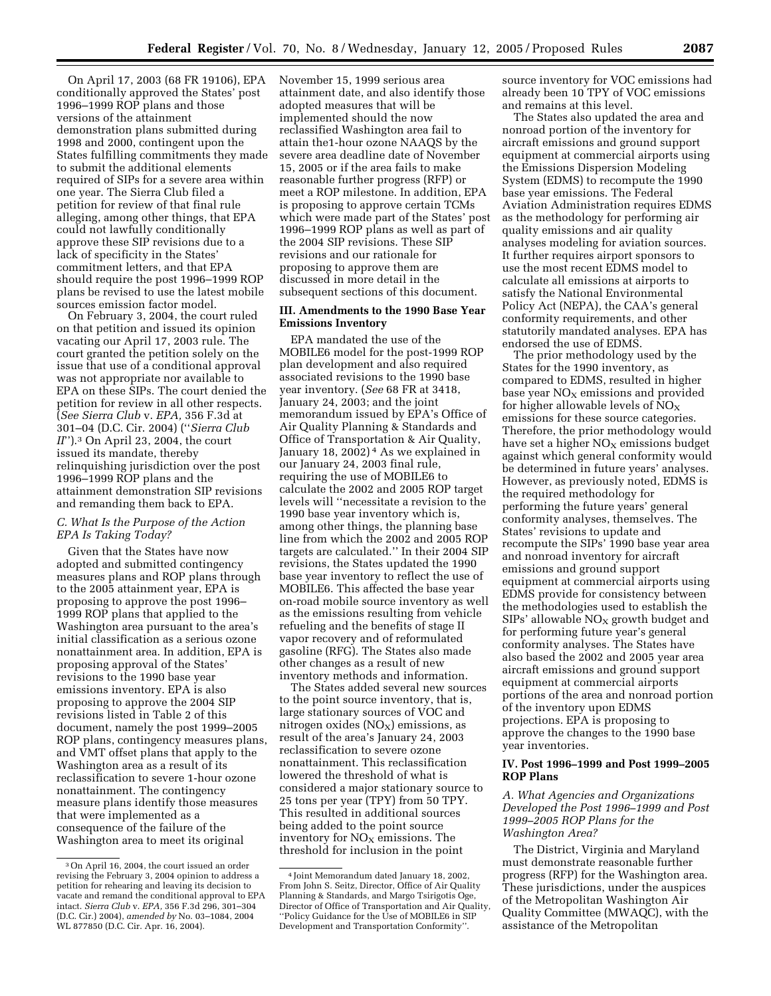On April 17, 2003 (68 FR 19106), EPA conditionally approved the States' post 1996–1999 ROP plans and those versions of the attainment demonstration plans submitted during 1998 and 2000, contingent upon the States fulfilling commitments they made to submit the additional elements required of SIPs for a severe area within one year. The Sierra Club filed a petition for review of that final rule alleging, among other things, that EPA could not lawfully conditionally approve these SIP revisions due to a lack of specificity in the States' commitment letters, and that EPA should require the post 1996–1999 ROP plans be revised to use the latest mobile sources emission factor model.

On February 3, 2004, the court ruled on that petition and issued its opinion vacating our April 17, 2003 rule. The court granted the petition solely on the issue that use of a conditional approval was not appropriate nor available to EPA on these SIPs. The court denied the petition for review in all other respects. (*See Sierra Club* v. *EPA,* 356 F.3d at 301–04 (D.C. Cir. 2004) (''*Sierra Club II*'').3 On April 23, 2004, the court issued its mandate, thereby relinquishing jurisdiction over the post 1996–1999 ROP plans and the attainment demonstration SIP revisions and remanding them back to EPA.

#### *C. What Is the Purpose of the Action EPA Is Taking Today?*

Given that the States have now adopted and submitted contingency measures plans and ROP plans through to the 2005 attainment year, EPA is proposing to approve the post 1996– 1999 ROP plans that applied to the Washington area pursuant to the area's initial classification as a serious ozone nonattainment area. In addition, EPA is proposing approval of the States' revisions to the 1990 base year emissions inventory. EPA is also proposing to approve the 2004 SIP revisions listed in Table 2 of this document, namely the post 1999–2005 ROP plans, contingency measures plans, and VMT offset plans that apply to the Washington area as a result of its reclassification to severe 1-hour ozone nonattainment. The contingency measure plans identify those measures that were implemented as a consequence of the failure of the Washington area to meet its original

November 15, 1999 serious area attainment date, and also identify those adopted measures that will be implemented should the now reclassified Washington area fail to attain the1-hour ozone NAAQS by the severe area deadline date of November 15, 2005 or if the area fails to make reasonable further progress (RFP) or meet a ROP milestone. In addition, EPA is proposing to approve certain TCMs which were made part of the States' post 1996–1999 ROP plans as well as part of the 2004 SIP revisions. These SIP revisions and our rationale for proposing to approve them are discussed in more detail in the subsequent sections of this document.

### **III. Amendments to the 1990 Base Year Emissions Inventory**

EPA mandated the use of the MOBILE6 model for the post-1999 ROP plan development and also required associated revisions to the 1990 base year inventory. (*See* 68 FR at 3418, January 24, 2003; and the joint memorandum issued by EPA's Office of Air Quality Planning & Standards and Office of Transportation & Air Quality, January 18, 2002)<sup>4</sup> As we explained in our January 24, 2003 final rule, requiring the use of MOBILE6 to calculate the 2002 and 2005 ROP target levels will ''necessitate a revision to the 1990 base year inventory which is, among other things, the planning base line from which the 2002 and 2005 ROP targets are calculated.'' In their 2004 SIP revisions, the States updated the 1990 base year inventory to reflect the use of MOBILE6. This affected the base year on-road mobile source inventory as well as the emissions resulting from vehicle refueling and the benefits of stage II vapor recovery and of reformulated gasoline (RFG). The States also made other changes as a result of new inventory methods and information.

The States added several new sources to the point source inventory, that is, large stationary sources of VOC and nitrogen oxides  $(NO<sub>X</sub>)$  emissions, as result of the area's January 24, 2003 reclassification to severe ozone nonattainment. This reclassification lowered the threshold of what is considered a major stationary source to 25 tons per year (TPY) from 50 TPY. This resulted in additional sources being added to the point source inventory for  $NO<sub>x</sub>$  emissions. The threshold for inclusion in the point

source inventory for VOC emissions had already been 10 TPY of VOC emissions and remains at this level.

The States also updated the area and nonroad portion of the inventory for aircraft emissions and ground support equipment at commercial airports using the Emissions Dispersion Modeling System (EDMS) to recompute the 1990 base year emissions. The Federal Aviation Administration requires EDMS as the methodology for performing air quality emissions and air quality analyses modeling for aviation sources. It further requires airport sponsors to use the most recent EDMS model to calculate all emissions at airports to satisfy the National Environmental Policy Act (NEPA), the CAA's general conformity requirements, and other statutorily mandated analyses. EPA has endorsed the use of EDMS.

The prior methodology used by the States for the 1990 inventory, as compared to EDMS, resulted in higher base year  $NO<sub>x</sub>$  emissions and provided for higher allowable levels of  $NO<sub>x</sub>$ emissions for these source categories. Therefore, the prior methodology would have set a higher  $NO<sub>x</sub>$  emissions budget against which general conformity would be determined in future years' analyses. However, as previously noted, EDMS is the required methodology for performing the future years' general conformity analyses, themselves. The States' revisions to update and recompute the SIPs' 1990 base year area and nonroad inventory for aircraft emissions and ground support equipment at commercial airports using EDMS provide for consistency between the methodologies used to establish the  $SIPs'$  allowable  $NO<sub>X</sub>$  growth budget and for performing future year's general conformity analyses. The States have also based the 2002 and 2005 year area aircraft emissions and ground support equipment at commercial airports portions of the area and nonroad portion of the inventory upon EDMS projections. EPA is proposing to approve the changes to the 1990 base year inventories.

### **IV. Post 1996–1999 and Post 1999–2005 ROP Plans**

*A. What Agencies and Organizations Developed the Post 1996–1999 and Post 1999–2005 ROP Plans for the Washington Area?* 

The District, Virginia and Maryland must demonstrate reasonable further progress (RFP) for the Washington area. These jurisdictions, under the auspices of the Metropolitan Washington Air Quality Committee (MWAQC), with the assistance of the Metropolitan

<sup>3</sup>On April 16, 2004, the court issued an order revising the February 3, 2004 opinion to address a petition for rehearing and leaving its decision to vacate and remand the conditional approval to EPA intact. *Sierra Club* v. *EPA,* 356 F.3d 296, 301–304 (D.C. Cir.) 2004), *amended by* No. 03–1084, 2004 WL 877850 (D.C. Cir. Apr. 16, 2004).

<sup>4</sup> Joint Memorandum dated January 18, 2002, From John S. Seitz, Director, Office of Air Quality Planning & Standards, and Margo Tsirigotis Oge, Director of Office of Transportation and Air Quality, ''Policy Guidance for the Use of MOBILE6 in SIP Development and Transportation Conformity''.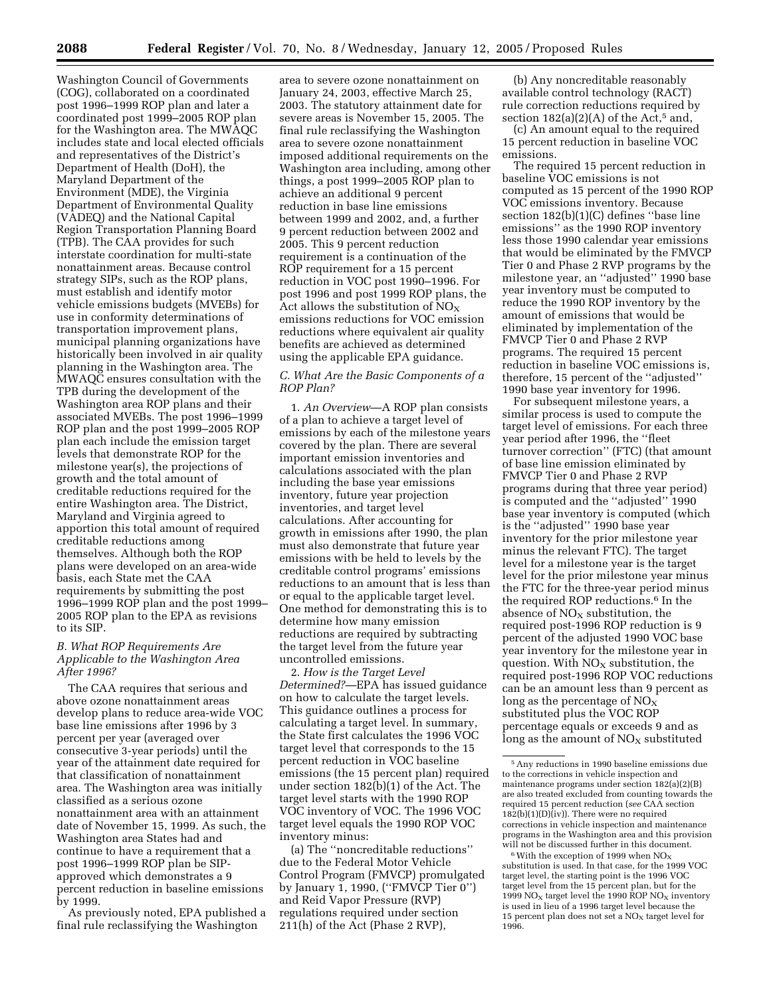Washington Council of Governments (COG), collaborated on a coordinated post 1996–1999 ROP plan and later a coordinated post 1999–2005 ROP plan for the Washington area. The MWAQC includes state and local elected officials and representatives of the District's Department of Health (DoH), the Maryland Department of the Environment (MDE), the Virginia Department of Environmental Quality (VADEQ) and the National Capital Region Transportation Planning Board (TPB). The CAA provides for such interstate coordination for multi-state nonattainment areas. Because control strategy SIPs, such as the ROP plans, must establish and identify motor vehicle emissions budgets (MVEBs) for use in conformity determinations of transportation improvement plans, municipal planning organizations have historically been involved in air quality planning in the Washington area. The MWAQC ensures consultation with the TPB during the development of the Washington area ROP plans and their associated MVEBs. The post 1996–1999 ROP plan and the post 1999–2005 ROP plan each include the emission target levels that demonstrate ROP for the milestone year(s), the projections of growth and the total amount of creditable reductions required for the entire Washington area. The District, Maryland and Virginia agreed to apportion this total amount of required creditable reductions among themselves. Although both the ROP plans were developed on an area-wide basis, each State met the CAA requirements by submitting the post 1996–1999 ROP plan and the post 1999– 2005 ROP plan to the EPA as revisions to its SIP.

#### *B. What ROP Requirements Are Applicable to the Washington Area After 1996?*

The CAA requires that serious and above ozone nonattainment areas develop plans to reduce area-wide VOC base line emissions after 1996 by 3 percent per year (averaged over consecutive 3-year periods) until the year of the attainment date required for that classification of nonattainment area. The Washington area was initially classified as a serious ozone nonattainment area with an attainment date of November 15, 1999. As such, the Washington area States had and continue to have a requirement that a post 1996–1999 ROP plan be SIPapproved which demonstrates a 9 percent reduction in baseline emissions by 1999.

As previously noted, EPA published a final rule reclassifying the Washington

area to severe ozone nonattainment on January 24, 2003, effective March 25, 2003. The statutory attainment date for severe areas is November 15, 2005. The final rule reclassifying the Washington area to severe ozone nonattainment imposed additional requirements on the Washington area including, among other things, a post 1999–2005 ROP plan to achieve an additional 9 percent reduction in base line emissions between 1999 and 2002, and, a further 9 percent reduction between 2002 and 2005. This 9 percent reduction requirement is a continuation of the ROP requirement for a 15 percent reduction in VOC post 1990–1996. For post 1996 and post 1999 ROP plans, the Act allows the substitution of  $NO<sub>x</sub>$ emissions reductions for VOC emission reductions where equivalent air quality benefits are achieved as determined using the applicable EPA guidance.

#### *C. What Are the Basic Components of a ROP Plan?*

1. *An Overview*—A ROP plan consists of a plan to achieve a target level of emissions by each of the milestone years covered by the plan. There are several important emission inventories and calculations associated with the plan including the base year emissions inventory, future year projection inventories, and target level calculations. After accounting for growth in emissions after 1990, the plan must also demonstrate that future year emissions with be held to levels by the creditable control programs' emissions reductions to an amount that is less than or equal to the applicable target level. One method for demonstrating this is to determine how many emission reductions are required by subtracting the target level from the future year uncontrolled emissions.

2. *How is the Target Level Determined?*—EPA has issued guidance on how to calculate the target levels. This guidance outlines a process for calculating a target level. In summary, the State first calculates the 1996 VOC target level that corresponds to the 15 percent reduction in VOC baseline emissions (the 15 percent plan) required under section 182(b)(1) of the Act. The target level starts with the 1990 ROP VOC inventory of VOC. The 1996 VOC target level equals the 1990 ROP VOC inventory minus:

(a) The ''noncreditable reductions'' due to the Federal Motor Vehicle Control Program (FMVCP) promulgated by January 1, 1990, (''FMVCP Tier 0'') and Reid Vapor Pressure (RVP) regulations required under section 211(h) of the Act (Phase 2 RVP),

(b) Any noncreditable reasonably available control technology (RACT) rule correction reductions required by section  $182(a)(2)(A)$  of the Act,<sup>5</sup> and,

(c) An amount equal to the required 15 percent reduction in baseline VOC emissions.

The required 15 percent reduction in baseline VOC emissions is not computed as 15 percent of the 1990 ROP VOC emissions inventory. Because section 182(b)(1)(C) defines ''base line emissions'' as the 1990 ROP inventory less those 1990 calendar year emissions that would be eliminated by the FMVCP Tier 0 and Phase 2 RVP programs by the milestone year, an ''adjusted'' 1990 base year inventory must be computed to reduce the 1990 ROP inventory by the amount of emissions that would be eliminated by implementation of the FMVCP Tier 0 and Phase 2 RVP programs. The required 15 percent reduction in baseline VOC emissions is, therefore, 15 percent of the ''adjusted'' 1990 base year inventory for 1996.

For subsequent milestone years, a similar process is used to compute the target level of emissions. For each three year period after 1996, the ''fleet turnover correction'' (FTC) (that amount of base line emission eliminated by FMVCP Tier 0 and Phase 2 RVP programs during that three year period) is computed and the ''adjusted'' 1990 base year inventory is computed (which is the ''adjusted'' 1990 base year inventory for the prior milestone year minus the relevant FTC). The target level for a milestone year is the target level for the prior milestone year minus the FTC for the three-year period minus the required ROP reductions.6 In the absence of  $NO<sub>X</sub>$  substitution, the required post-1996 ROP reduction is 9 percent of the adjusted 1990 VOC base year inventory for the milestone year in question. With  $NO<sub>X</sub>$  substitution, the required post-1996 ROP VOC reductions can be an amount less than 9 percent as long as the percentage of  $NO<sub>x</sub>$ substituted plus the VOC ROP percentage equals or exceeds 9 and as long as the amount of  $NO<sub>X</sub>$  substituted

<sup>5</sup>Any reductions in 1990 baseline emissions due to the corrections in vehicle inspection and maintenance programs under section 182(a)(2)(B) are also treated excluded from counting towards the required 15 percent reduction (*see* CAA section  $182(b)(1)(D)(iv)$ . There were no required corrections in vehicle inspection and maintenance programs in the Washington area and this provision will not be discussed further in this document.

 $^6\rm\,With$  the exception of 1999 when  $\rm NO_X$ substitution is used. In that case, for the 1999 VOC target level, the starting point is the 1996 VOC target level from the 15 percent plan, but for the 1999 NO<sub>x</sub> target level the 1990 ROP NO<sub>x</sub> inventory is used in lieu of a 1996 target level because the 15 percent plan does not set a  $NO<sub>x</sub>$  target level for 1996.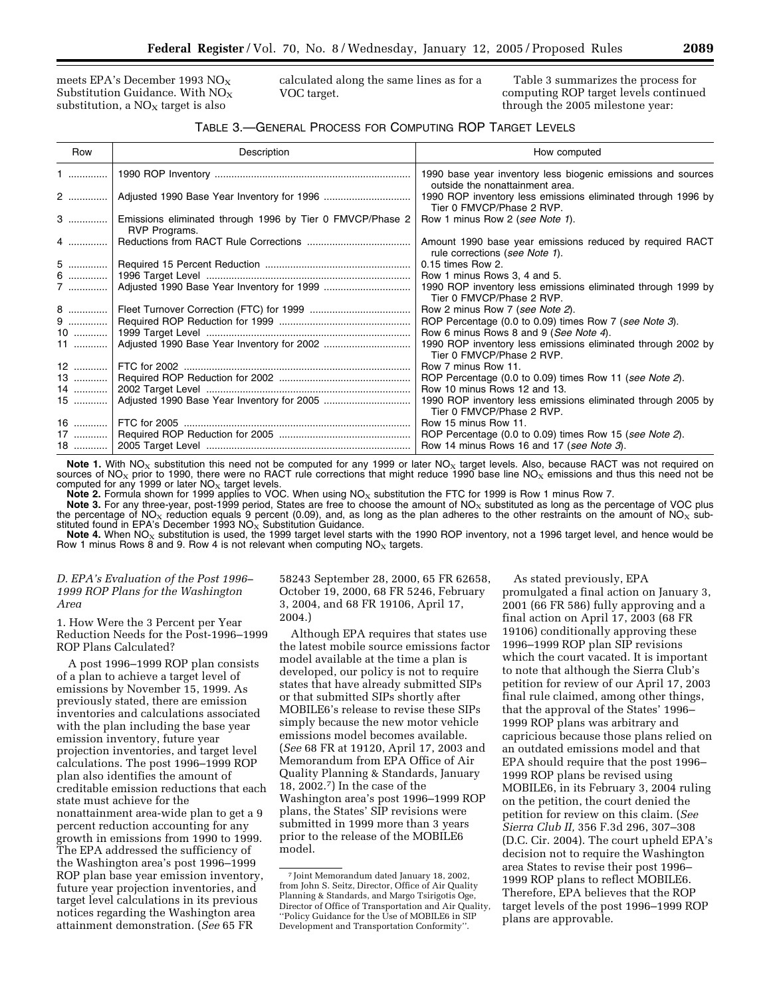meets EPA's December 1993 NOX Substitution Guidance. With  $NO<sub>X</sub>$ substitution, a  $NO<sub>x</sub>$  target is also

calculated along the same lines as for a VOC target.

Table 3 summarizes the process for computing ROP target levels continued through the 2005 milestone year:

# TABLE 3.—GENERAL PROCESS FOR COMPUTING ROP TARGET LEVELS

| Row     | Description                                                                       | How computed                                                                                    |
|---------|-----------------------------------------------------------------------------------|-------------------------------------------------------------------------------------------------|
| 1       |                                                                                   | 1990 base year inventory less biogenic emissions and sources<br>outside the nonattainment area. |
|         |                                                                                   | 1990 ROP inventory less emissions eliminated through 1996 by<br>Tier 0 FMVCP/Phase 2 RVP.       |
|         | Emissions eliminated through 1996 by Tier 0 FMVCP/Phase 2<br><b>RVP</b> Programs. | Row 1 minus Row 2 (see Note 1).                                                                 |
| $4$     |                                                                                   | Amount 1990 base year emissions reduced by required RACT<br>rule corrections (see Note 1).      |
| 5       |                                                                                   | 0.15 times Row 2.                                                                               |
|         |                                                                                   | Row 1 minus Rows 3, 4 and 5.                                                                    |
| 7       |                                                                                   | 1990 ROP inventory less emissions eliminated through 1999 by<br>Tier 0 FMVCP/Phase 2 RVP.       |
|         |                                                                                   | Row 2 minus Row 7 (see Note 2).                                                                 |
| 9       |                                                                                   | ROP Percentage (0.0 to 0.09) times Row 7 (see Note 3).                                          |
| 10      |                                                                                   | Row 6 minus Rows 8 and 9 (See Note 4).                                                          |
| 11      |                                                                                   | 1990 ROP inventory less emissions eliminated through 2002 by<br>Tier 0 FMVCP/Phase 2 RVP.       |
| 12      |                                                                                   | Row 7 minus Row 11.                                                                             |
|         |                                                                                   | ROP Percentage (0.0 to 0.09) times Row 11 (see Note 2).                                         |
| 14      |                                                                                   | Row 10 minus Rows 12 and 13.                                                                    |
| 15 ………… |                                                                                   | 1990 ROP inventory less emissions eliminated through 2005 by<br>Tier 0 FMVCP/Phase 2 RVP.       |
| 16      |                                                                                   | Row 15 minus Row 11.                                                                            |
|         |                                                                                   | ROP Percentage (0.0 to 0.09) times Row 15 (see Note 2).                                         |
|         |                                                                                   | Row 14 minus Rows 16 and 17 (see Note 3).                                                       |

Note 1. With NO<sub>X</sub> substitution this need not be computed for any 1999 or later NO<sub>X</sub> target levels. Also, because RACT was not required on sources of NO<sub>X</sub> prior to 1990, there were no RACT rule corrections that might reduce 1990 base line NO<sub>X</sub> emissions and thus this need not be computed for any 1999 or later  $NO<sub>x</sub>$  target levels.

Note 2. Formula shown for 1999 applies to VOC. When using NO<sub>X</sub> substitution the FTC for 1999 is Row 1 minus Row 7.

**Note 3.** For any three-year, post-1999 period, States are free to choose the amount of NO<sub>x</sub> substituted as long as the percentage of VOC plus the percentage of NO<sub>x</sub> reduction equals 9 percent (0.09), and, as long as th stituted found in EPA's December 1993 NO $_{\rm X}$  Substitution Guidance.

Note 4. When  $NO<sub>X</sub>$  substitution is used, the 1999 target level starts with the 1990 ROP inventory, not a 1996 target level, and hence would be Row 1 minus Rows 8 and 9. Row 4 is not relevant when computing  $NO<sub>x</sub>$  targets.

# *D. EPA's Evaluation of the Post 1996– 1999 ROP Plans for the Washington Area*

1. How Were the 3 Percent per Year Reduction Needs for the Post-1996–1999 ROP Plans Calculated?

A post 1996–1999 ROP plan consists of a plan to achieve a target level of emissions by November 15, 1999. As previously stated, there are emission inventories and calculations associated with the plan including the base year emission inventory, future year projection inventories, and target level calculations. The post 1996–1999 ROP plan also identifies the amount of creditable emission reductions that each state must achieve for the nonattainment area-wide plan to get a 9 percent reduction accounting for any growth in emissions from 1990 to 1999. The EPA addressed the sufficiency of the Washington area's post 1996–1999 ROP plan base year emission inventory, future year projection inventories, and target level calculations in its previous notices regarding the Washington area attainment demonstration. (*See* 65 FR

58243 September 28, 2000, 65 FR 62658, October 19, 2000, 68 FR 5246, February 3, 2004, and 68 FR 19106, April 17, 2004.)

Although EPA requires that states use the latest mobile source emissions factor model available at the time a plan is developed, our policy is not to require states that have already submitted SIPs or that submitted SIPs shortly after MOBILE6's release to revise these SIPs simply because the new motor vehicle emissions model becomes available. (*See* 68 FR at 19120, April 17, 2003 and Memorandum from EPA Office of Air Quality Planning & Standards, January 18, 2002.7) In the case of the Washington area's post 1996–1999 ROP plans, the States' SIP revisions were submitted in 1999 more than 3 years prior to the release of the MOBILE6 model.

As stated previously, EPA promulgated a final action on January 3,

2001 (66 FR 586) fully approving and a final action on April 17, 2003 (68 FR 19106) conditionally approving these 1996–1999 ROP plan SIP revisions which the court vacated. It is important to note that although the Sierra Club's petition for review of our April 17, 2003 final rule claimed, among other things, that the approval of the States' 1996– 1999 ROP plans was arbitrary and capricious because those plans relied on an outdated emissions model and that EPA should require that the post 1996– 1999 ROP plans be revised using MOBILE6, in its February 3, 2004 ruling on the petition, the court denied the petition for review on this claim. (*See Sierra Club II,* 356 F.3d 296, 307–308 (D.C. Cir. 2004). The court upheld EPA's decision not to require the Washington area States to revise their post 1996– 1999 ROP plans to reflect MOBILE6. Therefore, EPA believes that the ROP target levels of the post 1996–1999 ROP plans are approvable.

<sup>7</sup> Joint Memorandum dated January 18, 2002, from John S. Seitz, Director, Office of Air Quality Planning & Standards, and Margo Tsirigotis Oge, Director of Office of Transportation and Air Quality, ''Policy Guidance for the Use of MOBILE6 in SIP Development and Transportation Conformity''.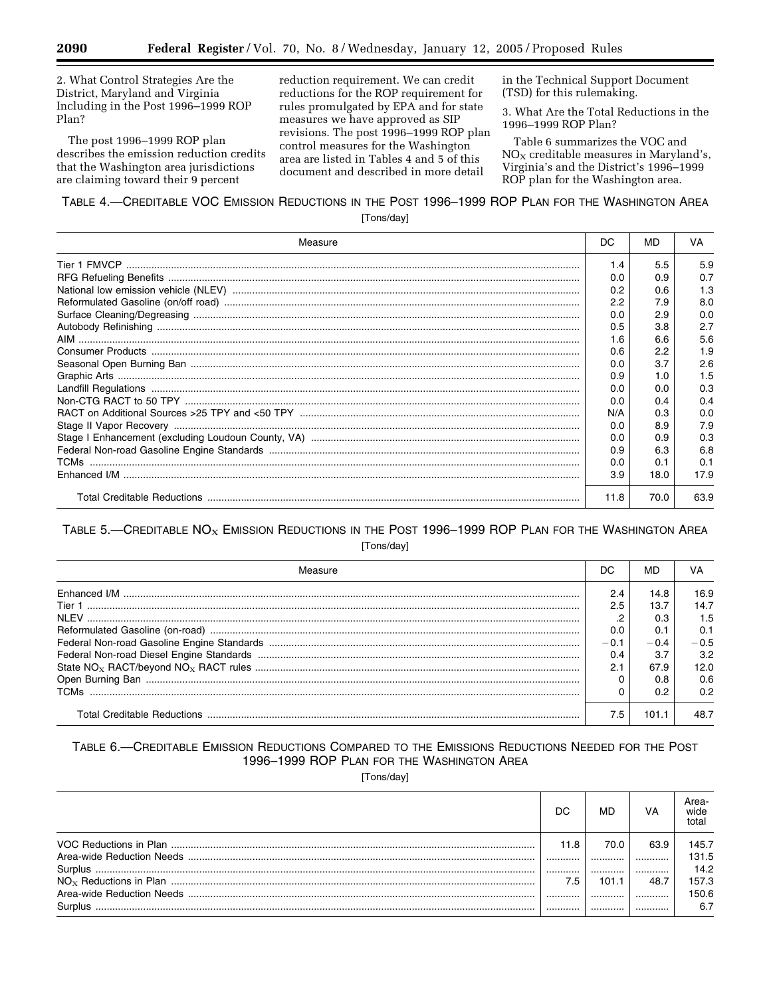2. What Control Strategies Are the District, Maryland and Virginia Including in the Post 1996-1999 ROP Plan?

The post 1996-1999 ROP plan describes the emission reduction credits that the Washington area jurisdictions are claiming toward their 9 percent

reduction requirement. We can credit reductions for the ROP requirement for rules promulgated by EPA and for state measures we have approved as SIP revisions. The post 1996-1999 ROP plan control measures for the Washington area are listed in Tables 4 and 5 of this document and described in more detail

in the Technical Support Document (TSD) for this rulemaking.

3. What Are the Total Reductions in the 1996-1999 ROP Plan?

Table 6 summarizes the VOC and  $NO<sub>x</sub>$  creditable measures in Maryland's, Virginia's and the District's 1996-1999 ROP plan for the Washington area.

# TABLE 4.—CREDITABLE VOC EMISSION REDUCTIONS IN THE POST 1996-1999 ROP PLAN FOR THE WASHINGTON AREA [Tons/day]

| Measure | DC   | MD   | VA   |
|---------|------|------|------|
|         | 1.4  | 5.5  | 5.9  |
|         | 0.0  | 0.9  | 0.7  |
|         | 0.2  | 0.6  | 1.3  |
|         | 2.2  | 7.9  | 8.0  |
|         | 0.0  | 2.9  | 0.0  |
|         | 0.5  | 3.8  | 2.7  |
|         | 1.6  | 6.6  | 5.6  |
|         | 0.6  | 2.2  | 1.9  |
|         | 0.0  | 3.7  | 2.6  |
|         | 0.9  | 1.0  | 1.5  |
|         | 0.0  | 0.0  | 0.3  |
|         | 0.0  | 0.4  | 0.4  |
|         | N/A  | 0.3  | 0.0  |
|         | 0.0  | 8.9  | 7.9  |
|         | 0.0  | 0.9  | 0.3  |
|         | 0.9  | 6.3  | 6.8  |
|         | 0.0  | 0.1  | 0.1  |
|         | 3.9  | 18.0 | 17.9 |
|         | 11.8 | 70.0 | 63.9 |

# TABLE 5.—CREDITABLE  $NO<sub>x</sub>$  Emission Reductions in the Post 1996–1999 ROP PLAN FOR THE WASHINGTON AREA [Tons/day]

| Measure | DC.    | <b>MD</b> | VA     |
|---------|--------|-----------|--------|
|         | 2.4    | 14.8      | 16.9   |
|         | 2.5    | 13.7      | 14.7   |
|         |        | 0.3       | 1.5    |
|         | 0.0    |           | 0.1    |
|         | $-0.1$ | $-0.4$    | $-0.5$ |
|         | 0.4    | 3.7       | 3.2    |
|         | 2.1    | 67.9      | 12.0   |
|         |        | 0.8       | 0.6    |
|         |        | 0.2       | 0.2    |
|         | 7.5    | 101.1     | 48.7   |

# TABLE 6.-CREDITABLE EMISSION REDUCTIONS COMPARED TO THE EMISSIONS REDUCTIONS NEEDED FOR THE POST 1996-1999 ROP PLAN FOR THE WASHINGTON AREA

[Tons/day]

| DC   | MD    | VA   | Area-<br>wide<br>total |
|------|-------|------|------------------------|
| 11.8 | 70.0  | 63.9 | 145.7                  |
|      |       |      | 131.5                  |
|      |       |      | 14.2                   |
| 7.5  | 101.1 | 48.7 | 157.3                  |
|      |       |      | 150.6                  |
|      |       |      | 6.7                    |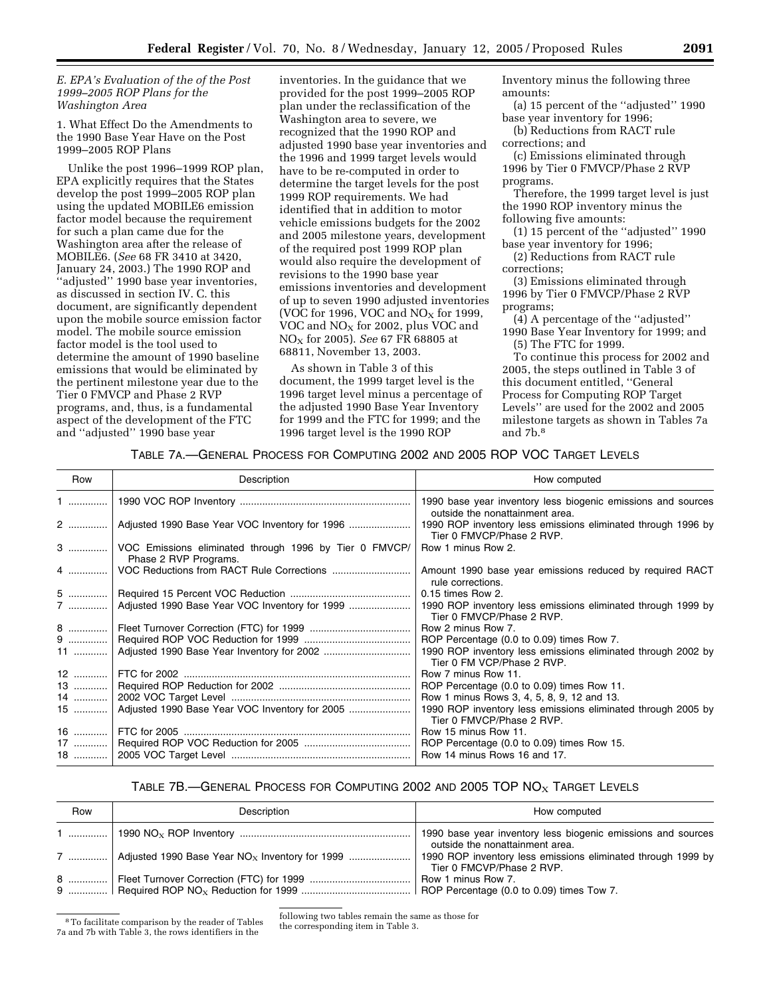#### *E. EPA's Evaluation of the of the Post 1999–2005 ROP Plans for the Washington Area*

1. What Effect Do the Amendments to the 1990 Base Year Have on the Post 1999–2005 ROP Plans

Unlike the post 1996–1999 ROP plan, EPA explicitly requires that the States develop the post 1999–2005 ROP plan using the updated MOBILE6 emission factor model because the requirement for such a plan came due for the Washington area after the release of MOBILE6. (*See* 68 FR 3410 at 3420, January 24, 2003.) The 1990 ROP and ''adjusted'' 1990 base year inventories, as discussed in section IV. C. this document, are significantly dependent upon the mobile source emission factor model. The mobile source emission factor model is the tool used to determine the amount of 1990 baseline emissions that would be eliminated by the pertinent milestone year due to the Tier 0 FMVCP and Phase 2 RVP programs, and, thus, is a fundamental aspect of the development of the FTC and ''adjusted'' 1990 base year

inventories. In the guidance that we provided for the post 1999–2005 ROP plan under the reclassification of the Washington area to severe, we recognized that the 1990 ROP and adjusted 1990 base year inventories and the 1996 and 1999 target levels would have to be re-computed in order to determine the target levels for the post 1999 ROP requirements. We had identified that in addition to motor vehicle emissions budgets for the 2002 and 2005 milestone years, development of the required post 1999 ROP plan would also require the development of revisions to the 1990 base year emissions inventories and development of up to seven 1990 adjusted inventories (VOC for 1996, VOC and  $NO<sub>X</sub>$  for 1999, VOC and NO<sub>X</sub> for 2002, plus VOC and NOX for 2005). *See* 67 FR 68805 at 68811, November 13, 2003.

As shown in Table 3 of this document, the 1999 target level is the 1996 target level minus a percentage of the adjusted 1990 Base Year Inventory for 1999 and the FTC for 1999; and the 1996 target level is the 1990 ROP

Inventory minus the following three amounts:

(a) 15 percent of the ''adjusted'' 1990 base year inventory for 1996;

(b) Reductions from RACT rule corrections; and

(c) Emissions eliminated through 1996 by Tier 0 FMVCP/Phase 2 RVP programs.

Therefore, the 1999 target level is just the 1990 ROP inventory minus the following five amounts:

(1) 15 percent of the ''adjusted'' 1990 base year inventory for 1996;

(2) Reductions from RACT rule corrections;

(3) Emissions eliminated through 1996 by Tier 0 FMVCP/Phase 2 RVP programs;

(4) A percentage of the ''adjusted'' 1990 Base Year Inventory for 1999; and (5) The FTC for 1999.

To continue this process for 2002 and 2005, the steps outlined in Table 3 of this document entitled, ''General Process for Computing ROP Target Levels'' are used for the 2002 and 2005 milestone targets as shown in Tables 7a and 7b.8

# TABLE 7A.—GENERAL PROCESS FOR COMPUTING 2002 AND 2005 ROP VOC TARGET LEVELS

| Row | Description                                                                          | How computed                                                                                    |
|-----|--------------------------------------------------------------------------------------|-------------------------------------------------------------------------------------------------|
|     |                                                                                      | 1990 base year inventory less biogenic emissions and sources<br>outside the nonattainment area. |
|     | 2  Adjusted 1990 Base Year VOC Inventory for 1996                                    | 1990 ROP inventory less emissions eliminated through 1996 by<br>Tier 0 FMVCP/Phase 2 RVP.       |
|     | 3    VOC Emissions eliminated through 1996 by Tier 0 FMVCP/<br>Phase 2 RVP Programs. | Row 1 minus Row 2.                                                                              |
|     |                                                                                      | Amount 1990 base year emissions reduced by required RACT<br>rule corrections.                   |
|     |                                                                                      | 0.15 times Row 2.                                                                               |
|     | 7    Adjusted 1990 Base Year VOC Inventory for 1999                                  | 1990 ROP inventory less emissions eliminated through 1999 by<br>Tier 0 FMVCP/Phase 2 RVP.       |
|     |                                                                                      | Row 2 minus Row 7.                                                                              |
|     |                                                                                      | ROP Percentage (0.0 to 0.09) times Row 7.                                                       |
|     |                                                                                      | 1990 ROP inventory less emissions eliminated through 2002 by<br>Tier 0 FM VCP/Phase 2 RVP.      |
|     |                                                                                      | Row 7 minus Row 11.                                                                             |
|     |                                                                                      | ROP Percentage (0.0 to 0.09) times Row 11.                                                      |
|     |                                                                                      | Row 1 minus Rows 3, 4, 5, 8, 9, 12 and 13.                                                      |
|     | 15  Adjusted 1990 Base Year VOC Inventory for 2005                                   | 1990 ROP inventory less emissions eliminated through 2005 by<br>Tier 0 FMVCP/Phase 2 RVP.       |
|     |                                                                                      | Row 15 minus Row 11.                                                                            |
|     |                                                                                      | ROP Percentage (0.0 to 0.09) times Row 15.                                                      |
|     |                                                                                      | Row 14 minus Rows 16 and 17.                                                                    |

# TABLE 7B.—GENERAL PROCESS FOR COMPUTING 2002 AND 2005 TOP  $NOS$  TARGET LEVELS

| Row | Description                                                   | How computed                                                                              |
|-----|---------------------------------------------------------------|-------------------------------------------------------------------------------------------|
|     |                                                               | outside the nonattainment area.                                                           |
|     | 7  Adjusted 1990 Base Year NO <sub>x</sub> Inventory for 1999 | 1990 ROP inventory less emissions eliminated through 1999 by<br>Tier 0 FMCVP/Phase 2 RVP. |
|     |                                                               |                                                                                           |

<sup>8</sup>To facilitate comparison by the reader of Tables 7a and 7b with Table 3, the rows identifiers in the

following two tables remain the same as those for the corresponding item in Table 3.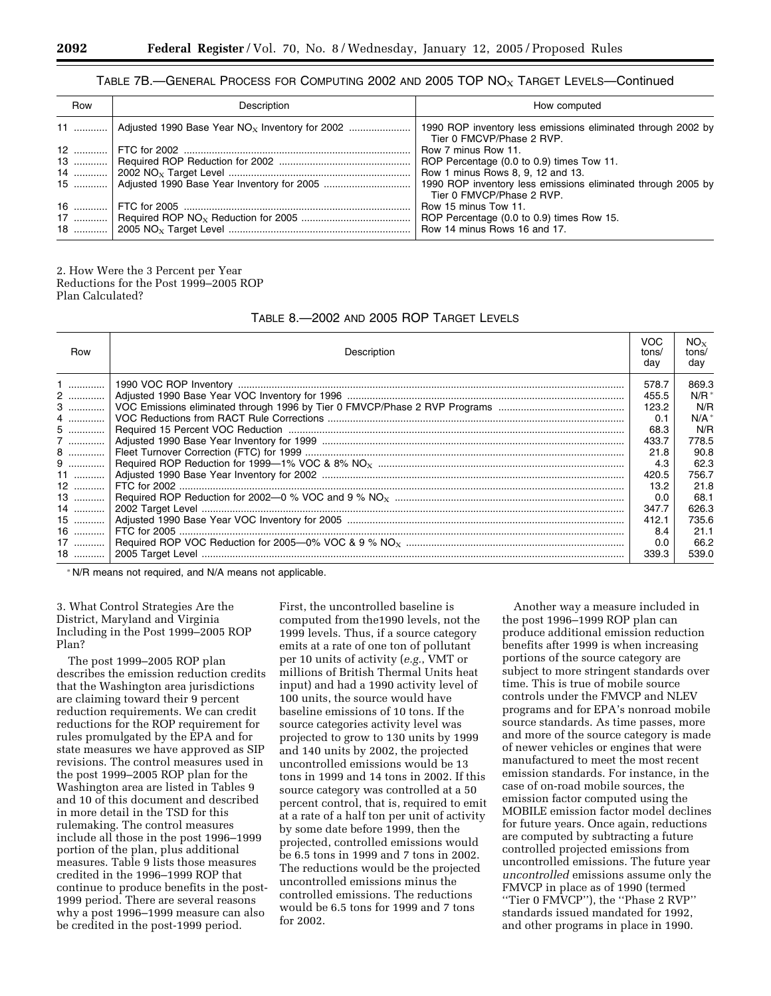### TABLE 7B.—GENERAL PROCESS FOR COMPUTING 2002 AND 2005 TOP  $NO<sub>X</sub>$  TARGET LEVELS—Continued

| Row | Description                                                    | How computed                                                                              |
|-----|----------------------------------------------------------------|-------------------------------------------------------------------------------------------|
|     | 11  Adjusted 1990 Base Year NO <sub>x</sub> Inventory for 2002 | 1990 ROP inventory less emissions eliminated through 2002 by<br>Tier 0 FMCVP/Phase 2 RVP. |
|     |                                                                | Row 7 minus Row 11.                                                                       |
|     |                                                                | ROP Percentage (0.0 to 0.9) times Tow 11.                                                 |
|     |                                                                | Row 1 minus Rows 8, 9, 12 and 13.                                                         |
|     |                                                                | 1990 ROP inventory less emissions eliminated through 2005 by                              |
|     |                                                                | Tier 0 FMVCP/Phase 2 RVP.                                                                 |
| 16  |                                                                | Row 15 minus Tow 11.                                                                      |
|     |                                                                | ROP Percentage (0.0 to 0.9) times Row 15.                                                 |
| 18  |                                                                | Row 14 minus Rows 16 and 17.                                                              |

2. How Were the 3 Percent per Year Reductions for the Post 1999–2005 ROP Plan Calculated?

# TABLE 8.—2002 AND 2005 ROP TARGET LEVELS

| Row   | Description | VOC<br>tons/<br>dav | $NO_{x}$<br>tons/<br>day |
|-------|-------------|---------------------|--------------------------|
| 1.    |             | 578.7               | 869.3                    |
| 2     |             | 455.5               | $N/R^*$                  |
| 3     |             | 123.2               | N/R                      |
| 4     |             | 0.1                 | N/A                      |
| 5     |             | 68.3                | N/R                      |
| 7     |             | 433.7               | 778.5                    |
| 8     |             | 21.8                | 90.8                     |
|       |             | 4.3                 | 62.3                     |
| 11    |             | 420.5               | 756.7                    |
| $12$  |             | 13.2                | 21.8                     |
| $13$  |             | 0.0                 | 68.1                     |
| 14    |             | 347.7               | 626.3                    |
|       |             | 412.1               | 735.6                    |
| 16    |             | 8.4                 | 21.1                     |
| 17  I |             | 0.0                 | 66.2                     |
| 18    |             | 339.3               | 539.0                    |

\* N/R means not required, and N/A means not applicable.

3. What Control Strategies Are the District, Maryland and Virginia Including in the Post 1999–2005 ROP Plan?

The post 1999–2005 ROP plan describes the emission reduction credits that the Washington area jurisdictions are claiming toward their 9 percent reduction requirements. We can credit reductions for the ROP requirement for rules promulgated by the EPA and for state measures we have approved as SIP revisions. The control measures used in the post 1999–2005 ROP plan for the Washington area are listed in Tables 9 and 10 of this document and described in more detail in the TSD for this rulemaking. The control measures include all those in the post 1996–1999 portion of the plan, plus additional measures. Table 9 lists those measures credited in the 1996–1999 ROP that continue to produce benefits in the post-1999 period. There are several reasons why a post 1996–1999 measure can also be credited in the post-1999 period.

First, the uncontrolled baseline is computed from the1990 levels, not the 1999 levels. Thus, if a source category emits at a rate of one ton of pollutant per 10 units of activity (*e.g.*, VMT or millions of British Thermal Units heat input) and had a 1990 activity level of 100 units, the source would have baseline emissions of 10 tons. If the source categories activity level was projected to grow to 130 units by 1999 and 140 units by 2002, the projected uncontrolled emissions would be 13 tons in 1999 and 14 tons in 2002. If this source category was controlled at a 50 percent control, that is, required to emit at a rate of a half ton per unit of activity by some date before 1999, then the projected, controlled emissions would be 6.5 tons in 1999 and 7 tons in 2002. The reductions would be the projected uncontrolled emissions minus the controlled emissions. The reductions would be 6.5 tons for 1999 and 7 tons for 2002.

Another way a measure included in the post 1996–1999 ROP plan can produce additional emission reduction benefits after 1999 is when increasing portions of the source category are subject to more stringent standards over time. This is true of mobile source controls under the FMVCP and NLEV programs and for EPA's nonroad mobile source standards. As time passes, more and more of the source category is made of newer vehicles or engines that were manufactured to meet the most recent emission standards. For instance, in the case of on-road mobile sources, the emission factor computed using the MOBILE emission factor model declines for future years. Once again, reductions are computed by subtracting a future controlled projected emissions from uncontrolled emissions. The future year *uncontrolled* emissions assume only the FMVCP in place as of 1990 (termed ''Tier 0 FMVCP''), the ''Phase 2 RVP'' standards issued mandated for 1992, and other programs in place in 1990.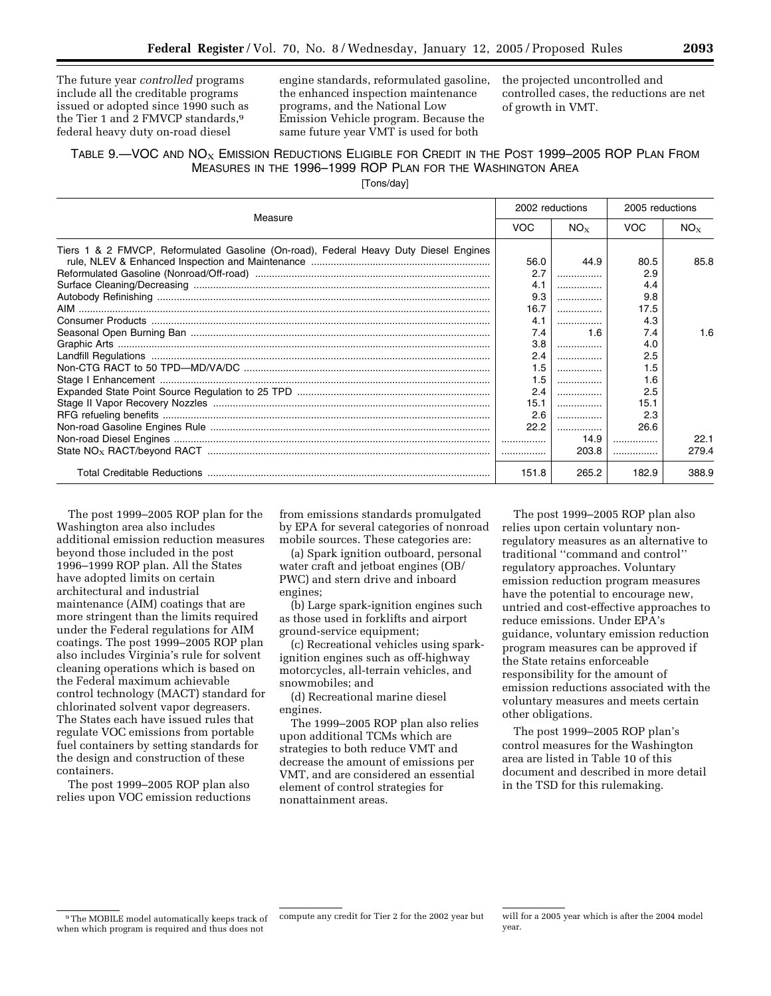The future year *controlled* programs include all the creditable programs issued or adopted since 1990 such as the Tier 1 and 2 FMVCP standards,<sup>9</sup> federal heavy duty on-road diesel

engine standards, reformulated gasoline, the enhanced inspection maintenance programs, and the National Low Emission Vehicle program. Because the same future year VMT is used for both

the projected uncontrolled and controlled cases, the reductions are net of growth in VMT.

# TABLE  $9$ .—VOC AND  $N\text{O}_X$  EMISSION REDUCTIONS ELIGIBLE FOR CREDIT IN THE POST 1999–2005 ROP PLAN FROM MEASURES IN THE 1996–1999 ROP PLAN FOR THE WASHINGTON AREA

[Tons/day]

| Measure                                                                               |            | 2002 reductions |            | 2005 reductions |  |
|---------------------------------------------------------------------------------------|------------|-----------------|------------|-----------------|--|
|                                                                                       | <b>VOC</b> | NO <sub>x</sub> | <b>VOC</b> | $NO_{X}$        |  |
| Tiers 1 & 2 FMVCP, Reformulated Gasoline (On-road), Federal Heavy Duty Diesel Engines |            |                 |            |                 |  |
|                                                                                       | 56.0       | 44.9            | 80.5       | 85.8            |  |
|                                                                                       | 2.7        |                 | 2.9        |                 |  |
|                                                                                       | 4.1        |                 | 4.4        |                 |  |
|                                                                                       | 9.3        |                 | 9.8        |                 |  |
|                                                                                       | 16.7       |                 | 17.5       |                 |  |
|                                                                                       | 4.1        |                 | 4.3        |                 |  |
|                                                                                       | 7.4        | 1.6             | 7.4        | 1.6             |  |
|                                                                                       | 3.8        |                 | 4.0        |                 |  |
|                                                                                       | 2.4        |                 | 2.5        |                 |  |
|                                                                                       | 1.5        | .               | 1.5        |                 |  |
|                                                                                       | 1.5        |                 | 1.6        |                 |  |
|                                                                                       | 2.4        | .               | 2.5        |                 |  |
|                                                                                       | 15.1       |                 | 15.1       |                 |  |
|                                                                                       | 2.6        |                 | 2.3        |                 |  |
|                                                                                       | 22.2       |                 | 26.6       |                 |  |
|                                                                                       |            | 14.9            |            | 22.1            |  |
|                                                                                       |            | 203.8           |            | 279.4           |  |
|                                                                                       | 151.8      | 265.2           | 182.9      | 388.9           |  |

The post 1999–2005 ROP plan for the Washington area also includes additional emission reduction measures beyond those included in the post 1996–1999 ROP plan. All the States have adopted limits on certain architectural and industrial maintenance (AIM) coatings that are more stringent than the limits required under the Federal regulations for AIM coatings. The post 1999–2005 ROP plan also includes Virginia's rule for solvent cleaning operations which is based on the Federal maximum achievable control technology (MACT) standard for chlorinated solvent vapor degreasers. The States each have issued rules that regulate VOC emissions from portable fuel containers by setting standards for the design and construction of these containers.

The post 1999–2005 ROP plan also relies upon VOC emission reductions

from emissions standards promulgated by EPA for several categories of nonroad mobile sources. These categories are:

(a) Spark ignition outboard, personal water craft and jetboat engines (OB/ PWC) and stern drive and inboard engines;

(b) Large spark-ignition engines such as those used in forklifts and airport ground-service equipment;

(c) Recreational vehicles using sparkignition engines such as off-highway motorcycles, all-terrain vehicles, and snowmobiles; and

(d) Recreational marine diesel engines.

The 1999–2005 ROP plan also relies upon additional TCMs which are strategies to both reduce VMT and decrease the amount of emissions per VMT, and are considered an essential element of control strategies for nonattainment areas.

The post 1999–2005 ROP plan also relies upon certain voluntary nonregulatory measures as an alternative to traditional ''command and control'' regulatory approaches. Voluntary emission reduction program measures have the potential to encourage new, untried and cost-effective approaches to reduce emissions. Under EPA's guidance, voluntary emission reduction program measures can be approved if the State retains enforceable responsibility for the amount of emission reductions associated with the voluntary measures and meets certain other obligations.

The post 1999–2005 ROP plan's control measures for the Washington area are listed in Table 10 of this document and described in more detail in the TSD for this rulemaking.

<sup>9</sup>The MOBILE model automatically keeps track of when which program is required and thus does not

compute any credit for Tier 2 for the 2002 year but will for a 2005 year which is after the 2004 model year.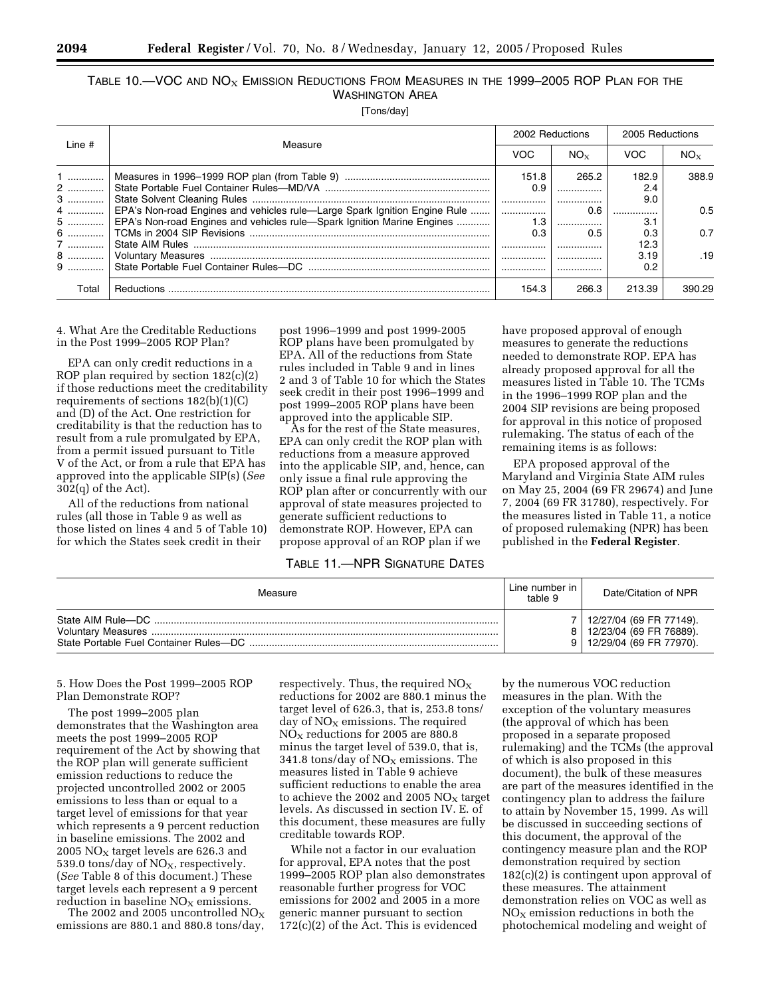# TABLE 10.—VOC AND  $N_{\mathrm{OX}}$  Emission Reductions From Measures in the 1999–2005 ROP Plan for the WASHINGTON AREA

[Tons/day]

| Line $#$<br>Measure |                                                                             | 2002 Reductions |                | 2005 Reductions |        |
|---------------------|-----------------------------------------------------------------------------|-----------------|----------------|-----------------|--------|
|                     | <b>VOC</b>                                                                  | $NO_{\rm x}$    | VOC            | $NO_{x}$        |        |
| $1$                 |                                                                             | 151.8           | 265.2          | 182.9           | 388.9  |
| $2$                 |                                                                             | 0.9             |                | 2.4<br>9.0      |        |
| 4                   | EPA's Non-road Engines and vehicles rule—Large Spark Ignition Engine Rule   |                 | 0.6            | .               | 0.5    |
|                     | 5    EPA's Non-road Engines and vehicles rule—Spark Ignition Marine Engines | 0.3             | $1.3$  <br>0.5 | 3.1<br>0.3      | 0.7    |
| 7                   |                                                                             |                 |                | 12.3            |        |
| 8<br>$9$            |                                                                             |                 |                | 3.19<br>0.2     | .19    |
|                     |                                                                             |                 |                |                 |        |
| Total               | <b>Reductions</b>                                                           | 154.3           | 266.3          | 213.39          | 390.29 |

4. What Are the Creditable Reductions in the Post 1999–2005 ROP Plan?

EPA can only credit reductions in a ROP plan required by section 182(c)(2) if those reductions meet the creditability requirements of sections 182(b)(1)(C) and (D) of the Act. One restriction for creditability is that the reduction has to result from a rule promulgated by EPA, from a permit issued pursuant to Title V of the Act, or from a rule that EPA has approved into the applicable SIP(s) (*See* 302(q) of the Act).

All of the reductions from national rules (all those in Table 9 as well as those listed on lines 4 and 5 of Table 10) for which the States seek credit in their

post 1996–1999 and post 1999-2005 ROP plans have been promulgated by EPA. All of the reductions from State rules included in Table 9 and in lines 2 and 3 of Table 10 for which the States seek credit in their post 1996–1999 and post 1999–2005 ROP plans have been approved into the applicable SIP.

As for the rest of the State measures, EPA can only credit the ROP plan with reductions from a measure approved into the applicable SIP, and, hence, can only issue a final rule approving the ROP plan after or concurrently with our approval of state measures projected to generate sufficient reductions to demonstrate ROP. However, EPA can propose approval of an ROP plan if we

TABLE 11.—NPR SIGNATURE DATES

have proposed approval of enough measures to generate the reductions needed to demonstrate ROP. EPA has already proposed approval for all the measures listed in Table 10. The TCMs in the 1996–1999 ROP plan and the 2004 SIP revisions are being proposed for approval in this notice of proposed rulemaking. The status of each of the remaining items is as follows:

EPA proposed approval of the Maryland and Virginia State AIM rules on May 25, 2004 (69 FR 29674) and June 7, 2004 (69 FR 31780), respectively. For the measures listed in Table 11, a notice of proposed rulemaking (NPR) has been published in the **Federal Register**.

| Measure            | Line number in<br>table 9 | Date/Citation of NPR                                                                  |
|--------------------|---------------------------|---------------------------------------------------------------------------------------|
| State AIM Rule-DC. |                           | 12/27/04 (69 FR 77149).<br>8   12/23/04 (69 FR 76889).<br>9   12/29/04 (69 FR 77970). |

5. How Does the Post 1999–2005 ROP Plan Demonstrate ROP?

The post 1999–2005 plan demonstrates that the Washington area meets the post 1999–2005 ROP requirement of the Act by showing that the ROP plan will generate sufficient emission reductions to reduce the projected uncontrolled 2002 or 2005 emissions to less than or equal to a target level of emissions for that year which represents a 9 percent reduction in baseline emissions. The 2002 and 2005  $NO<sub>x</sub>$  target levels are 626.3 and 539.0 tons/day of  $NO<sub>x</sub>$ , respectively. (*See* Table 8 of this document.) These target levels each represent a 9 percent reduction in baseline  $NO<sub>X</sub>$  emissions.

The 2002 and 2005 uncontrolled  $NO_X$ emissions are 880.1 and 880.8 tons/day,

respectively. Thus, the required  $NO<sub>x</sub>$ reductions for 2002 are 880.1 minus the target level of 626.3, that is, 253.8 tons/ day of  $NO<sub>x</sub>$  emissions. The required  $NO<sub>X</sub>$  reductions for 2005 are 880.8 minus the target level of 539.0, that is, 341.8 tons/day of  $NO<sub>x</sub>$  emissions. The measures listed in Table 9 achieve sufficient reductions to enable the area to achieve the 2002 and 2005  $NO<sub>x</sub>$  target levels. As discussed in section IV. E. of this document, these measures are fully creditable towards ROP.

While not a factor in our evaluation for approval, EPA notes that the post 1999–2005 ROP plan also demonstrates reasonable further progress for VOC emissions for 2002 and 2005 in a more generic manner pursuant to section 172(c)(2) of the Act. This is evidenced

by the numerous VOC reduction measures in the plan. With the exception of the voluntary measures (the approval of which has been proposed in a separate proposed rulemaking) and the TCMs (the approval of which is also proposed in this document), the bulk of these measures are part of the measures identified in the contingency plan to address the failure to attain by November 15, 1999. As will be discussed in succeeding sections of this document, the approval of the contingency measure plan and the ROP demonstration required by section 182(c)(2) is contingent upon approval of these measures. The attainment demonstration relies on VOC as well as  $NO<sub>x</sub>$  emission reductions in both the photochemical modeling and weight of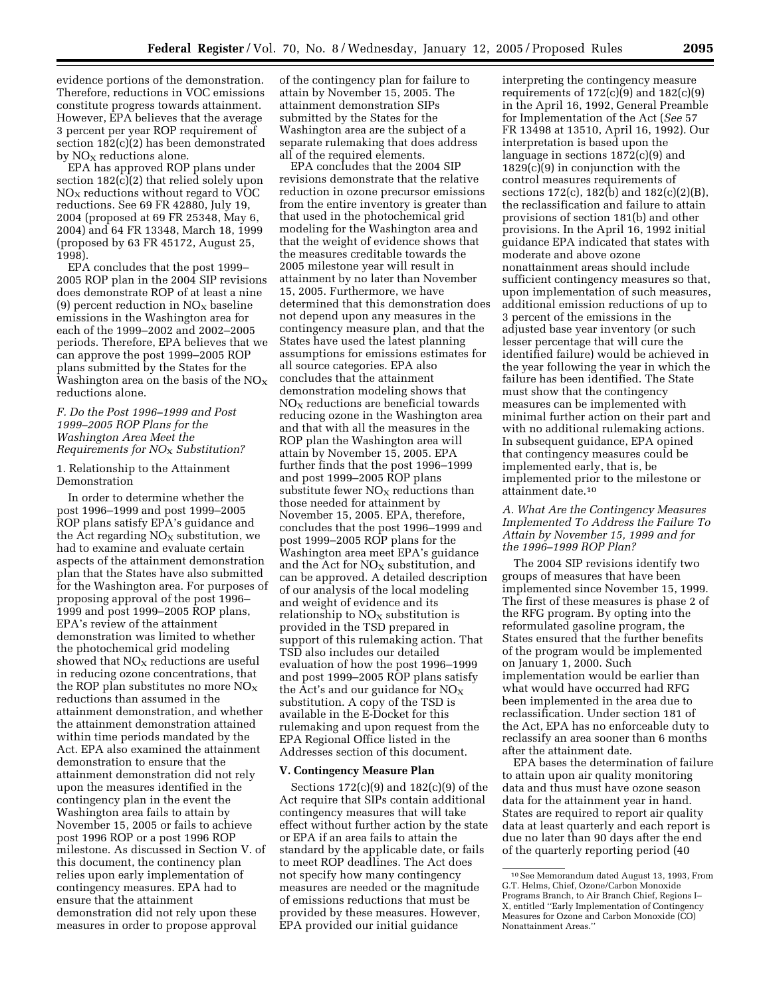evidence portions of the demonstration. Therefore, reductions in VOC emissions constitute progress towards attainment. However, EPA believes that the average 3 percent per year ROP requirement of section 182(c)(2) has been demonstrated by  $NO<sub>x</sub>$  reductions alone.

EPA has approved ROP plans under section 182(c)(2) that relied solely upon  $NO<sub>X</sub>$  reductions without regard to VOC reductions. See 69 FR 42880, July 19, 2004 (proposed at 69 FR 25348, May 6, 2004) and 64 FR 13348, March 18, 1999 (proposed by 63 FR 45172, August 25, 1998).

EPA concludes that the post 1999– 2005 ROP plan in the 2004 SIP revisions does demonstrate ROP of at least a nine (9) percent reduction in  $NO<sub>x</sub>$  baseline emissions in the Washington area for each of the 1999–2002 and 2002–2005 periods. Therefore, EPA believes that we can approve the post 1999–2005 ROP plans submitted by the States for the Washington area on the basis of the  $NO<sub>X</sub>$ reductions alone.

### *F. Do the Post 1996–1999 and Post 1999–2005 ROP Plans for the Washington Area Meet the Requirements for NO*X *Substitution?*

### 1. Relationship to the Attainment Demonstration

In order to determine whether the post 1996–1999 and post 1999–2005 ROP plans satisfy EPA's guidance and the Act regarding  $NO<sub>x</sub>$  substitution, we had to examine and evaluate certain aspects of the attainment demonstration plan that the States have also submitted for the Washington area. For purposes of proposing approval of the post 1996– 1999 and post 1999–2005 ROP plans, EPA's review of the attainment demonstration was limited to whether the photochemical grid modeling showed that NO<sub>X</sub> reductions are useful in reducing ozone concentrations, that the ROP plan substitutes no more  $NO<sub>x</sub>$ reductions than assumed in the attainment demonstration, and whether the attainment demonstration attained within time periods mandated by the Act. EPA also examined the attainment demonstration to ensure that the attainment demonstration did not rely upon the measures identified in the contingency plan in the event the Washington area fails to attain by November 15, 2005 or fails to achieve post 1996 ROP or a post 1996 ROP milestone. As discussed in Section V. of this document, the continency plan relies upon early implementation of contingency measures. EPA had to ensure that the attainment demonstration did not rely upon these measures in order to propose approval

of the contingency plan for failure to attain by November 15, 2005. The attainment demonstration SIPs submitted by the States for the Washington area are the subject of a separate rulemaking that does address all of the required elements.

EPA concludes that the 2004 SIP revisions demonstrate that the relative reduction in ozone precursor emissions from the entire inventory is greater than that used in the photochemical grid modeling for the Washington area and that the weight of evidence shows that the measures creditable towards the 2005 milestone year will result in attainment by no later than November 15, 2005. Furthermore, we have determined that this demonstration does not depend upon any measures in the contingency measure plan, and that the States have used the latest planning assumptions for emissions estimates for all source categories. EPA also concludes that the attainment demonstration modeling shows that  $NO<sub>X</sub>$  reductions are beneficial towards reducing ozone in the Washington area and that with all the measures in the ROP plan the Washington area will attain by November 15, 2005. EPA further finds that the post 1996–1999 and post 1999–2005 ROP plans substitute fewer  $NO<sub>x</sub>$  reductions than those needed for attainment by November 15, 2005. EPA, therefore, concludes that the post 1996–1999 and post 1999–2005 ROP plans for the Washington area meet EPA's guidance and the Act for  $NO<sub>x</sub>$  substitution, and can be approved. A detailed description of our analysis of the local modeling and weight of evidence and its relationship to  $NO<sub>x</sub>$  substitution is provided in the TSD prepared in support of this rulemaking action. That TSD also includes our detailed evaluation of how the post 1996–1999 and post 1999–2005 ROP plans satisfy the Act's and our guidance for  $NO<sub>x</sub>$ substitution. A copy of the TSD is available in the E-Docket for this rulemaking and upon request from the EPA Regional Office listed in the Addresses section of this document.

#### **V. Contingency Measure Plan**

Sections 172(c)(9) and 182(c)(9) of the Act require that SIPs contain additional contingency measures that will take effect without further action by the state or EPA if an area fails to attain the standard by the applicable date, or fails to meet ROP deadlines. The Act does not specify how many contingency measures are needed or the magnitude of emissions reductions that must be provided by these measures. However, EPA provided our initial guidance

interpreting the contingency measure requirements of  $172(c)(9)$  and  $182(c)(9)$ in the April 16, 1992, General Preamble for Implementation of the Act (*See* 57 FR 13498 at 13510, April 16, 1992). Our interpretation is based upon the language in sections 1872(c)(9) and 1829(c)(9) in conjunction with the control measures requirements of sections 172(c), 182(b) and 182(c)(2)(B), the reclassification and failure to attain provisions of section 181(b) and other provisions. In the April 16, 1992 initial guidance EPA indicated that states with moderate and above ozone nonattainment areas should include sufficient contingency measures so that, upon implementation of such measures, additional emission reductions of up to 3 percent of the emissions in the adjusted base year inventory (or such lesser percentage that will cure the identified failure) would be achieved in the year following the year in which the failure has been identified. The State must show that the contingency measures can be implemented with minimal further action on their part and with no additional rulemaking actions. In subsequent guidance, EPA opined that contingency measures could be implemented early, that is, be implemented prior to the milestone or attainment date.10

#### *A. What Are the Contingency Measures Implemented To Address the Failure To Attain by November 15, 1999 and for the 1996–1999 ROP Plan?*

The 2004 SIP revisions identify two groups of measures that have been implemented since November 15, 1999. The first of these measures is phase 2 of the RFG program. By opting into the reformulated gasoline program, the States ensured that the further benefits of the program would be implemented on January 1, 2000. Such implementation would be earlier than what would have occurred had RFG been implemented in the area due to reclassification. Under section 181 of the Act, EPA has no enforceable duty to reclassify an area sooner than 6 months after the attainment date.

EPA bases the determination of failure to attain upon air quality monitoring data and thus must have ozone season data for the attainment year in hand. States are required to report air quality data at least quarterly and each report is due no later than 90 days after the end of the quarterly reporting period (40

<sup>10</sup>See Memorandum dated August 13, 1993, From G.T. Helms, Chief, Ozone/Carbon Monoxide Programs Branch, to Air Branch Chief, Regions I– X, entitled ''Early Implementation of Contingency Measures for Ozone and Carbon Monoxide (CO) Nonattainment Areas.''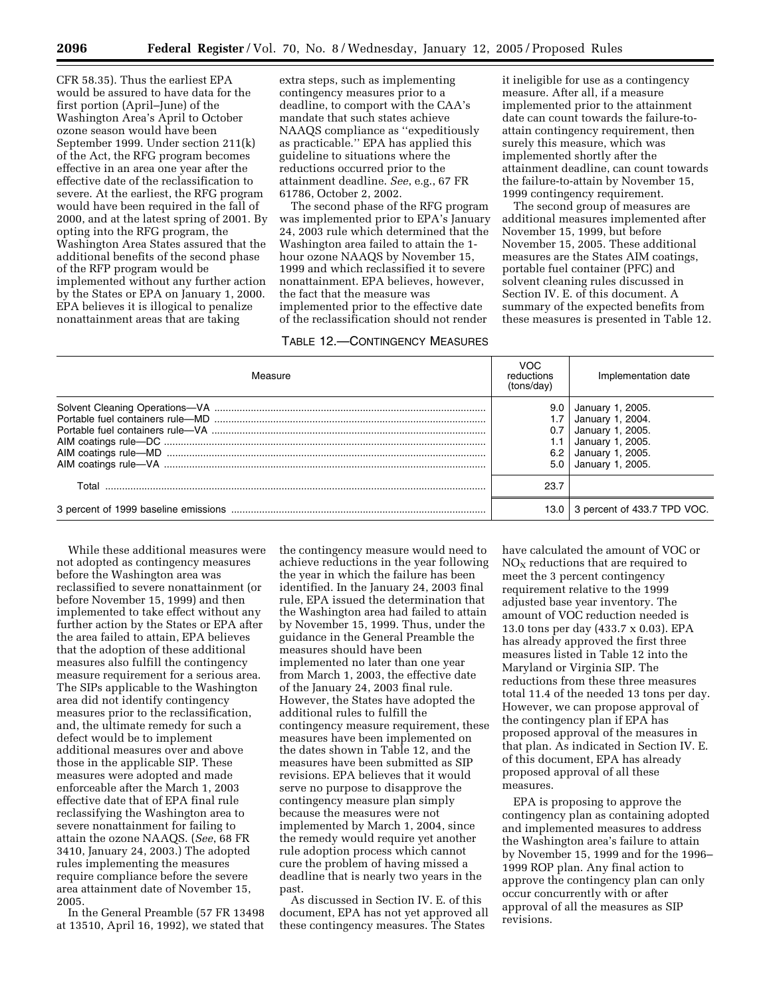CFR 58.35). Thus the earliest EPA would be assured to have data for the first portion (April–June) of the Washington Area's April to October ozone season would have been September 1999. Under section 211(k) of the Act, the RFG program becomes effective in an area one year after the effective date of the reclassification to severe. At the earliest, the RFG program would have been required in the fall of 2000, and at the latest spring of 2001. By opting into the RFG program, the Washington Area States assured that the additional benefits of the second phase of the RFP program would be implemented without any further action by the States or EPA on January 1, 2000. EPA believes it is illogical to penalize nonattainment areas that are taking

extra steps, such as implementing contingency measures prior to a deadline, to comport with the CAA's mandate that such states achieve NAAQS compliance as ''expeditiously as practicable.'' EPA has applied this guideline to situations where the reductions occurred prior to the attainment deadline. *See*, e.g., 67 FR 61786, October 2, 2002.

The second phase of the RFG program was implemented prior to EPA's January 24, 2003 rule which determined that the Washington area failed to attain the 1 hour ozone NAAQS by November 15, 1999 and which reclassified it to severe nonattainment. EPA believes, however, the fact that the measure was implemented prior to the effective date of the reclassification should not render

## TABLE 12.—CONTINGENCY MEASURES

it ineligible for use as a contingency measure. After all, if a measure implemented prior to the attainment date can count towards the failure-toattain contingency requirement, then surely this measure, which was implemented shortly after the attainment deadline, can count towards the failure-to-attain by November 15, 1999 contingency requirement.

The second group of measures are additional measures implemented after November 15, 1999, but before November 15, 2005. These additional measures are the States AIM coatings, portable fuel container (PFC) and solvent cleaning rules discussed in Section IV. E. of this document. A summary of the expected benefits from these measures is presented in Table 12.

| Measure | VOC<br>reductions<br>(tons/day) | Implementation date                                                                                                  |
|---------|---------------------------------|----------------------------------------------------------------------------------------------------------------------|
|         | 9.0<br>0.7<br>6.2               | January 1, 2005.<br>January 1, 2004.<br>January 1, 2005.<br>January 1, 2005.<br>January 1, 2005.<br>January 1, 2005. |
| Total   | 23.7                            |                                                                                                                      |
|         |                                 | 13.0 3 percent of 433.7 TPD VOC.                                                                                     |

While these additional measures were not adopted as contingency measures before the Washington area was reclassified to severe nonattainment (or before November 15, 1999) and then implemented to take effect without any further action by the States or EPA after the area failed to attain, EPA believes that the adoption of these additional measures also fulfill the contingency measure requirement for a serious area. The SIPs applicable to the Washington area did not identify contingency measures prior to the reclassification, and, the ultimate remedy for such a defect would be to implement additional measures over and above those in the applicable SIP. These measures were adopted and made enforceable after the March 1, 2003 effective date that of EPA final rule reclassifying the Washington area to severe nonattainment for failing to attain the ozone NAAQS. (*See*, 68 FR 3410, January 24, 2003.) The adopted rules implementing the measures require compliance before the severe area attainment date of November 15, 2005.

In the General Preamble (57 FR 13498 at 13510, April 16, 1992), we stated that the contingency measure would need to achieve reductions in the year following the year in which the failure has been identified. In the January 24, 2003 final rule, EPA issued the determination that the Washington area had failed to attain by November 15, 1999. Thus, under the guidance in the General Preamble the measures should have been implemented no later than one year from March 1, 2003, the effective date of the January 24, 2003 final rule. However, the States have adopted the additional rules to fulfill the contingency measure requirement, these measures have been implemented on the dates shown in Table 12, and the measures have been submitted as SIP revisions. EPA believes that it would serve no purpose to disapprove the contingency measure plan simply because the measures were not implemented by March 1, 2004, since the remedy would require yet another rule adoption process which cannot cure the problem of having missed a deadline that is nearly two years in the past.

As discussed in Section IV. E. of this document, EPA has not yet approved all these contingency measures. The States

have calculated the amount of VOC or  $NO<sub>x</sub>$  reductions that are required to meet the 3 percent contingency requirement relative to the 1999 adjusted base year inventory. The amount of VOC reduction needed is 13.0 tons per day (433.7 x 0.03). EPA has already approved the first three measures listed in Table 12 into the Maryland or Virginia SIP. The reductions from these three measures total 11.4 of the needed 13 tons per day. However, we can propose approval of the contingency plan if EPA has proposed approval of the measures in that plan. As indicated in Section IV. E. of this document, EPA has already proposed approval of all these measures.

EPA is proposing to approve the contingency plan as containing adopted and implemented measures to address the Washington area's failure to attain by November 15, 1999 and for the 1996– 1999 ROP plan. Any final action to approve the contingency plan can only occur concurrently with or after approval of all the measures as SIP revisions.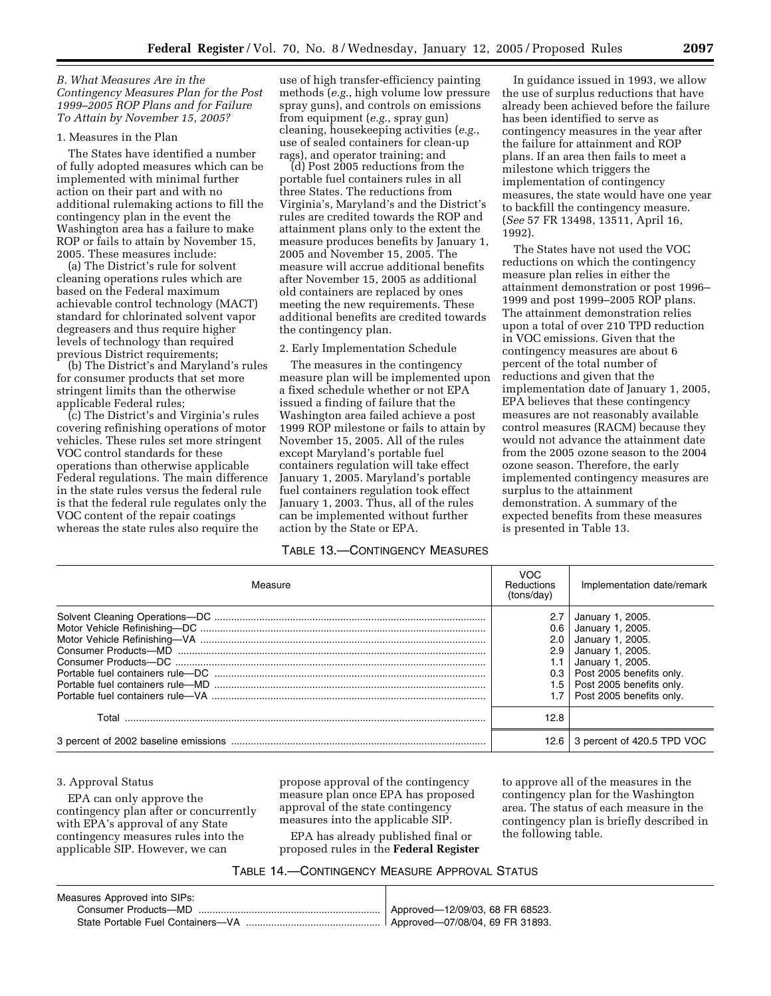### *B. What Measures Are in the Contingency Measures Plan for the Post 1999–2005 ROP Plans and for Failure To Attain by November 15, 2005?*

### 1. Measures in the Plan

The States have identified a number of fully adopted measures which can be implemented with minimal further action on their part and with no additional rulemaking actions to fill the contingency plan in the event the Washington area has a failure to make ROP or fails to attain by November 15, 2005. These measures include:

(a) The District's rule for solvent cleaning operations rules which are based on the Federal maximum achievable control technology (MACT) standard for chlorinated solvent vapor degreasers and thus require higher levels of technology than required previous District requirements;

(b) The District's and Maryland's rules for consumer products that set more stringent limits than the otherwise applicable Federal rules;

(c) The District's and Virginia's rules covering refinishing operations of motor vehicles. These rules set more stringent VOC control standards for these operations than otherwise applicable Federal regulations. The main difference in the state rules versus the federal rule is that the federal rule regulates only the VOC content of the repair coatings whereas the state rules also require the

use of high transfer-efficiency painting methods (*e.g.*, high volume low pressure spray guns), and controls on emissions from equipment (*e.g.*, spray gun) cleaning, housekeeping activities (*e.g.*, use of sealed containers for clean-up rags), and operator training; and

(d) Post 2005 reductions from the portable fuel containers rules in all three States. The reductions from Virginia's, Maryland's and the District's rules are credited towards the ROP and attainment plans only to the extent the measure produces benefits by January 1, 2005 and November 15, 2005. The measure will accrue additional benefits after November 15, 2005 as additional old containers are replaced by ones meeting the new requirements. These additional benefits are credited towards the contingency plan.

#### 2. Early Implementation Schedule

The measures in the contingency measure plan will be implemented upon a fixed schedule whether or not EPA issued a finding of failure that the Washington area failed achieve a post 1999 ROP milestone or fails to attain by November 15, 2005. All of the rules except Maryland's portable fuel containers regulation will take effect January 1, 2005. Maryland's portable fuel containers regulation took effect January 1, 2003. Thus, all of the rules can be implemented without further action by the State or EPA.

#### TABLE 13.—CONTINGENCY MEASURES

In guidance issued in 1993, we allow the use of surplus reductions that have already been achieved before the failure has been identified to serve as contingency measures in the year after the failure for attainment and ROP plans. If an area then fails to meet a milestone which triggers the implementation of contingency measures, the state would have one year to backfill the contingency measure. (*See* 57 FR 13498, 13511, April 16, 1992).

The States have not used the VOC reductions on which the contingency measure plan relies in either the attainment demonstration or post 1996– 1999 and post 1999–2005 ROP plans. The attainment demonstration relies upon a total of over 210 TPD reduction in VOC emissions. Given that the contingency measures are about 6 percent of the total number of reductions and given that the implementation date of January 1, 2005, EPA believes that these contingency measures are not reasonably available control measures (RACM) because they would not advance the attainment date from the 2005 ozone season to the 2004 ozone season. Therefore, the early implemented contingency measures are surplus to the attainment demonstration. A summary of the expected benefits from these measures is presented in Table 13.

| Measure | <b>VOC</b><br>Reductions<br>(tons/day) | Implementation date/remark                                                                                                                                                                                     |
|---------|----------------------------------------|----------------------------------------------------------------------------------------------------------------------------------------------------------------------------------------------------------------|
|         | 2.7<br>2.0<br>2.9                      | January 1, 2005.<br>$0.6$ January 1, 2005.<br>January 1, 2005.<br>January 1, 2005.<br>January 1, 2005.<br>$0.3$   Post 2005 benefits only.<br>1.5   Post 2005 benefits only.<br>1.7   Post 2005 benefits only. |
|         | 12.8                                   |                                                                                                                                                                                                                |
|         |                                        | 12.6 3 percent of 420.5 TPD VOC                                                                                                                                                                                |

#### 3. Approval Status

EPA can only approve the contingency plan after or concurrently with EPA's approval of any State contingency measures rules into the applicable SIP. However, we can

propose approval of the contingency measure plan once EPA has proposed approval of the state contingency measures into the applicable SIP.

EPA has already published final or proposed rules in the **Federal Register** to approve all of the measures in the contingency plan for the Washington area. The status of each measure in the contingency plan is briefly described in the following table.

# TABLE 14.—CONTINGENCY MEASURE APPROVAL STATUS

| Measures Approved into SIPs: |  |
|------------------------------|--|
|                              |  |
|                              |  |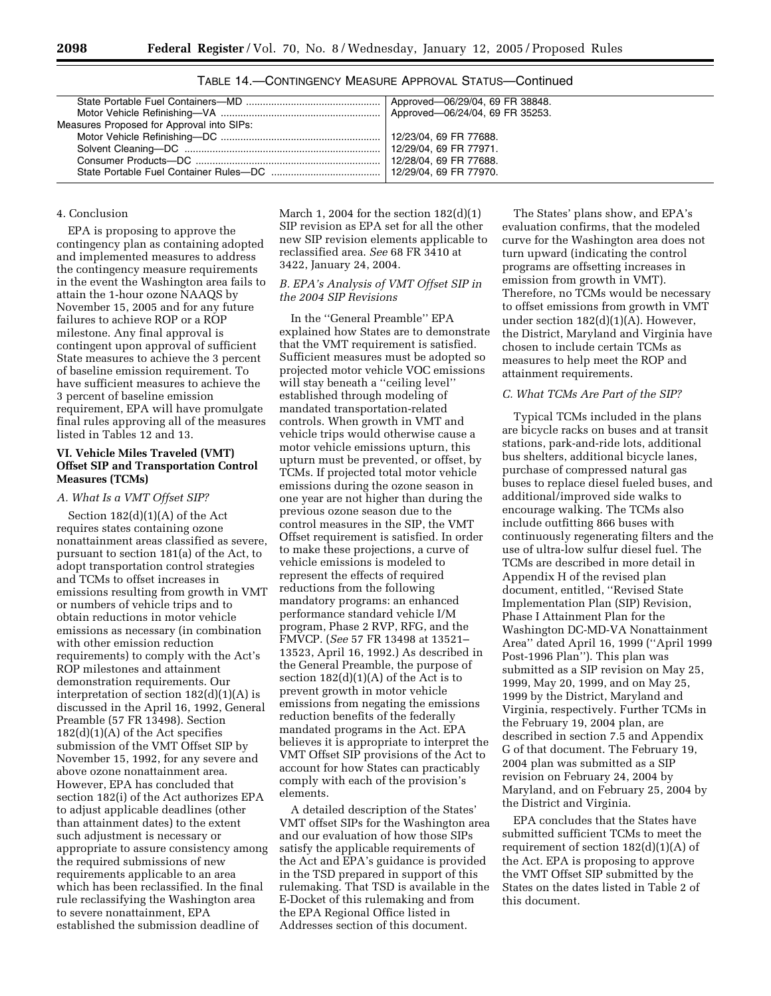| Measures Proposed for Approval into SIPs: |  |
|-------------------------------------------|--|
|                                           |  |
|                                           |  |
|                                           |  |
|                                           |  |
|                                           |  |

TABLE 14.—CONTINGENCY MEASURE APPROVAL STATUS—Continued

#### 4. Conclusion

EPA is proposing to approve the contingency plan as containing adopted and implemented measures to address the contingency measure requirements in the event the Washington area fails to attain the 1-hour ozone NAAQS by November 15, 2005 and for any future failures to achieve ROP or a ROP milestone. Any final approval is contingent upon approval of sufficient State measures to achieve the 3 percent of baseline emission requirement. To have sufficient measures to achieve the 3 percent of baseline emission requirement, EPA will have promulgate final rules approving all of the measures listed in Tables 12 and 13.

### **VI. Vehicle Miles Traveled (VMT) Offset SIP and Transportation Control Measures (TCMs)**

### *A. What Is a VMT Offset SIP?*

Section 182(d)(1)(A) of the Act requires states containing ozone nonattainment areas classified as severe, pursuant to section 181(a) of the Act, to adopt transportation control strategies and TCMs to offset increases in emissions resulting from growth in VMT or numbers of vehicle trips and to obtain reductions in motor vehicle emissions as necessary (in combination with other emission reduction requirements) to comply with the Act's ROP milestones and attainment demonstration requirements. Our interpretation of section 182(d)(1)(A) is discussed in the April 16, 1992, General Preamble (57 FR 13498). Section  $182(d)(1)(A)$  of the Act specifies submission of the VMT Offset SIP by November 15, 1992, for any severe and above ozone nonattainment area. However, EPA has concluded that section 182(i) of the Act authorizes EPA to adjust applicable deadlines (other than attainment dates) to the extent such adjustment is necessary or appropriate to assure consistency among the required submissions of new requirements applicable to an area which has been reclassified. In the final rule reclassifying the Washington area to severe nonattainment, EPA established the submission deadline of

March 1, 2004 for the section 182(d)(1) SIP revision as EPA set for all the other new SIP revision elements applicable to reclassified area. *See* 68 FR 3410 at 3422, January 24, 2004.

# *B. EPA's Analysis of VMT Offset SIP in the 2004 SIP Revisions*

In the ''General Preamble'' EPA explained how States are to demonstrate that the VMT requirement is satisfied. Sufficient measures must be adopted so projected motor vehicle VOC emissions will stay beneath a "ceiling level" established through modeling of mandated transportation-related controls. When growth in VMT and vehicle trips would otherwise cause a motor vehicle emissions upturn, this upturn must be prevented, or offset, by TCMs. If projected total motor vehicle emissions during the ozone season in one year are not higher than during the previous ozone season due to the control measures in the SIP, the VMT Offset requirement is satisfied. In order to make these projections, a curve of vehicle emissions is modeled to represent the effects of required reductions from the following mandatory programs: an enhanced performance standard vehicle I/M program, Phase 2 RVP, RFG, and the FMVCP. (*See* 57 FR 13498 at 13521– 13523, April 16, 1992.) As described in the General Preamble, the purpose of section  $182(d)(1)(A)$  of the Act is to prevent growth in motor vehicle emissions from negating the emissions reduction benefits of the federally mandated programs in the Act. EPA believes it is appropriate to interpret the VMT Offset SIP provisions of the Act to account for how States can practicably comply with each of the provision's elements.

A detailed description of the States' VMT offset SIPs for the Washington area and our evaluation of how those SIPs satisfy the applicable requirements of the Act and EPA's guidance is provided in the TSD prepared in support of this rulemaking. That TSD is available in the E-Docket of this rulemaking and from the EPA Regional Office listed in Addresses section of this document.

The States' plans show, and EPA's evaluation confirms, that the modeled curve for the Washington area does not turn upward (indicating the control programs are offsetting increases in emission from growth in VMT). Therefore, no TCMs would be necessary to offset emissions from growth in VMT under section 182(d)(1)(A). However, the District, Maryland and Virginia have chosen to include certain TCMs as measures to help meet the ROP and attainment requirements.

#### *C. What TCMs Are Part of the SIP?*

Typical TCMs included in the plans are bicycle racks on buses and at transit stations, park-and-ride lots, additional bus shelters, additional bicycle lanes, purchase of compressed natural gas buses to replace diesel fueled buses, and additional/improved side walks to encourage walking. The TCMs also include outfitting 866 buses with continuously regenerating filters and the use of ultra-low sulfur diesel fuel. The TCMs are described in more detail in Appendix H of the revised plan document, entitled, ''Revised State Implementation Plan (SIP) Revision, Phase I Attainment Plan for the Washington DC-MD-VA Nonattainment Area'' dated April 16, 1999 (''April 1999 Post-1996 Plan''). This plan was submitted as a SIP revision on May 25, 1999, May 20, 1999, and on May 25, 1999 by the District, Maryland and Virginia, respectively. Further TCMs in the February 19, 2004 plan, are described in section 7.5 and Appendix G of that document. The February 19, 2004 plan was submitted as a SIP revision on February 24, 2004 by Maryland, and on February 25, 2004 by the District and Virginia.

EPA concludes that the States have submitted sufficient TCMs to meet the requirement of section  $182(d)(1)(A)$  of the Act. EPA is proposing to approve the VMT Offset SIP submitted by the States on the dates listed in Table 2 of this document.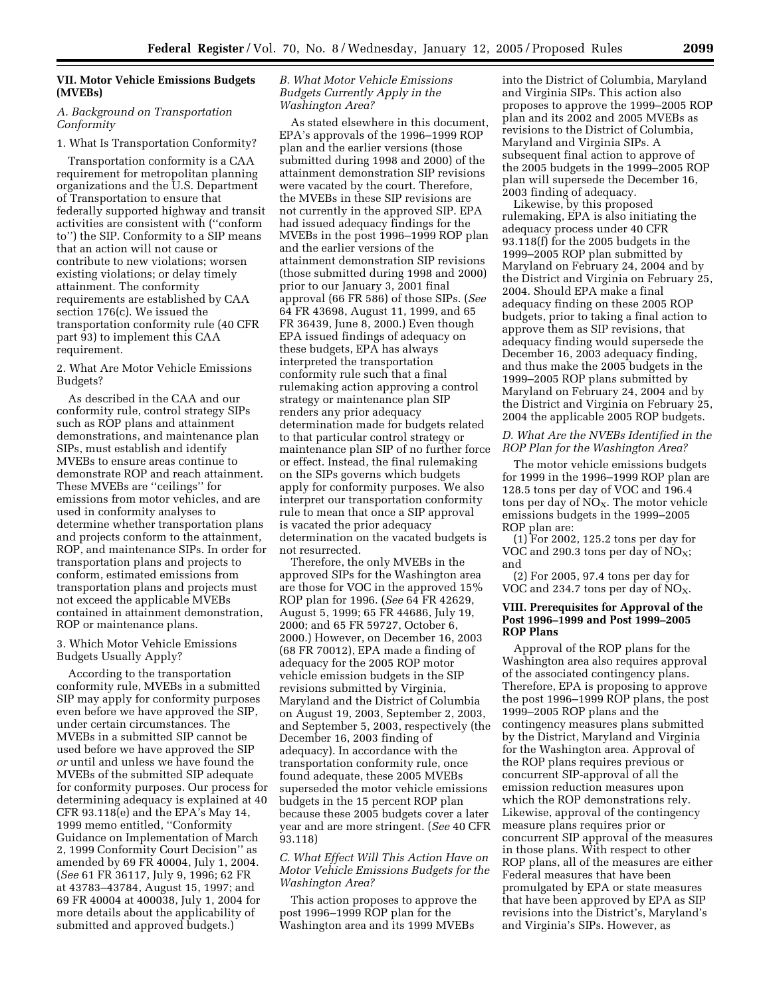# **VII. Motor Vehicle Emissions Budgets (MVEBs)**

#### *A. Background on Transportation Conformity*

#### 1. What Is Transportation Conformity?

Transportation conformity is a CAA requirement for metropolitan planning organizations and the U.S. Department of Transportation to ensure that federally supported highway and transit activities are consistent with (''conform to'') the SIP. Conformity to a SIP means that an action will not cause or contribute to new violations; worsen existing violations; or delay timely attainment. The conformity requirements are established by CAA section 176(c). We issued the transportation conformity rule (40 CFR part 93) to implement this CAA requirement.

2. What Are Motor Vehicle Emissions Budgets?

As described in the CAA and our conformity rule, control strategy SIPs such as ROP plans and attainment demonstrations, and maintenance plan SIPs, must establish and identify MVEBs to ensure areas continue to demonstrate ROP and reach attainment. These MVEBs are ''ceilings'' for emissions from motor vehicles, and are used in conformity analyses to determine whether transportation plans and projects conform to the attainment, ROP, and maintenance SIPs. In order for transportation plans and projects to conform, estimated emissions from transportation plans and projects must not exceed the applicable MVEBs contained in attainment demonstration, ROP or maintenance plans.

#### 3. Which Motor Vehicle Emissions Budgets Usually Apply?

According to the transportation conformity rule, MVEBs in a submitted SIP may apply for conformity purposes even before we have approved the SIP, under certain circumstances. The MVEBs in a submitted SIP cannot be used before we have approved the SIP *or* until and unless we have found the MVEBs of the submitted SIP adequate for conformity purposes. Our process for determining adequacy is explained at 40 CFR 93.118(e) and the EPA's May 14, 1999 memo entitled, ''Conformity Guidance on Implementation of March 2, 1999 Conformity Court Decision'' as amended by 69 FR 40004, July 1, 2004. (*See* 61 FR 36117, July 9, 1996; 62 FR at 43783–43784, August 15, 1997; and 69 FR 40004 at 400038, July 1, 2004 for more details about the applicability of submitted and approved budgets.)

#### *B. What Motor Vehicle Emissions Budgets Currently Apply in the Washington Area?*

As stated elsewhere in this document, EPA's approvals of the 1996–1999 ROP plan and the earlier versions (those submitted during 1998 and 2000) of the attainment demonstration SIP revisions were vacated by the court. Therefore, the MVEBs in these SIP revisions are not currently in the approved SIP. EPA had issued adequacy findings for the MVEBs in the post 1996–1999 ROP plan and the earlier versions of the attainment demonstration SIP revisions (those submitted during 1998 and 2000) prior to our January 3, 2001 final approval (66 FR 586) of those SIPs. (*See* 64 FR 43698, August 11, 1999, and 65 FR 36439, June 8, 2000.) Even though EPA issued findings of adequacy on these budgets, EPA has always interpreted the transportation conformity rule such that a final rulemaking action approving a control strategy or maintenance plan SIP renders any prior adequacy determination made for budgets related to that particular control strategy or maintenance plan SIP of no further force or effect. Instead, the final rulemaking on the SIPs governs which budgets apply for conformity purposes. We also interpret our transportation conformity rule to mean that once a SIP approval is vacated the prior adequacy determination on the vacated budgets is not resurrected.

Therefore, the only MVEBs in the approved SIPs for the Washington area are those for VOC in the approved 15% ROP plan for 1996. (*See* 64 FR 42629, August 5, 1999; 65 FR 44686, July 19, 2000; and 65 FR 59727, October 6, 2000.) However, on December 16, 2003 (68 FR 70012), EPA made a finding of adequacy for the 2005 ROP motor vehicle emission budgets in the SIP revisions submitted by Virginia, Maryland and the District of Columbia on August 19, 2003, September 2, 2003, and September 5, 2003, respectively (the December 16, 2003 finding of adequacy). In accordance with the transportation conformity rule, once found adequate, these 2005 MVEBs superseded the motor vehicle emissions budgets in the 15 percent ROP plan because these 2005 budgets cover a later year and are more stringent. (*See* 40 CFR 93.118)

#### *C. What Effect Will This Action Have on Motor Vehicle Emissions Budgets for the Washington Area?*

This action proposes to approve the post 1996–1999 ROP plan for the Washington area and its 1999 MVEBs

into the District of Columbia, Maryland and Virginia SIPs. This action also proposes to approve the 1999–2005 ROP plan and its 2002 and 2005 MVEBs as revisions to the District of Columbia, Maryland and Virginia SIPs. A subsequent final action to approve of the 2005 budgets in the 1999–2005 ROP plan will supersede the December 16, 2003 finding of adequacy.

Likewise, by this proposed rulemaking, EPA is also initiating the adequacy process under 40 CFR 93.118(f) for the 2005 budgets in the 1999–2005 ROP plan submitted by Maryland on February 24, 2004 and by the District and Virginia on February 25, 2004. Should EPA make a final adequacy finding on these 2005 ROP budgets, prior to taking a final action to approve them as SIP revisions, that adequacy finding would supersede the December 16, 2003 adequacy finding, and thus make the 2005 budgets in the 1999–2005 ROP plans submitted by Maryland on February 24, 2004 and by the District and Virginia on February 25, 2004 the applicable 2005 ROP budgets.

*D. What Are the NVEBs Identified in the ROP Plan for the Washington Area?* 

The motor vehicle emissions budgets for 1999 in the 1996–1999 ROP plan are 128.5 tons per day of VOC and 196.4 tons per day of  $NO<sub>X</sub>$ . The motor vehicle emissions budgets in the 1999–2005 ROP plan are:

(1) For 2002, 125.2 tons per day for VOC and 290.3 tons per day of  $NO<sub>X</sub>$ ; and

(2) For 2005, 97.4 tons per day for VOC and 234.7 tons per day of  $NO<sub>x</sub>$ .

#### **VIII. Prerequisites for Approval of the Post 1996–1999 and Post 1999–2005 ROP Plans**

Approval of the ROP plans for the Washington area also requires approval of the associated contingency plans. Therefore, EPA is proposing to approve the post 1996–1999 ROP plans, the post 1999–2005 ROP plans and the contingency measures plans submitted by the District, Maryland and Virginia for the Washington area. Approval of the ROP plans requires previous or concurrent SIP-approval of all the emission reduction measures upon which the ROP demonstrations rely. Likewise, approval of the contingency measure plans requires prior or concurrent SIP approval of the measures in those plans. With respect to other ROP plans, all of the measures are either Federal measures that have been promulgated by EPA or state measures that have been approved by EPA as SIP revisions into the District's, Maryland's and Virginia's SIPs. However, as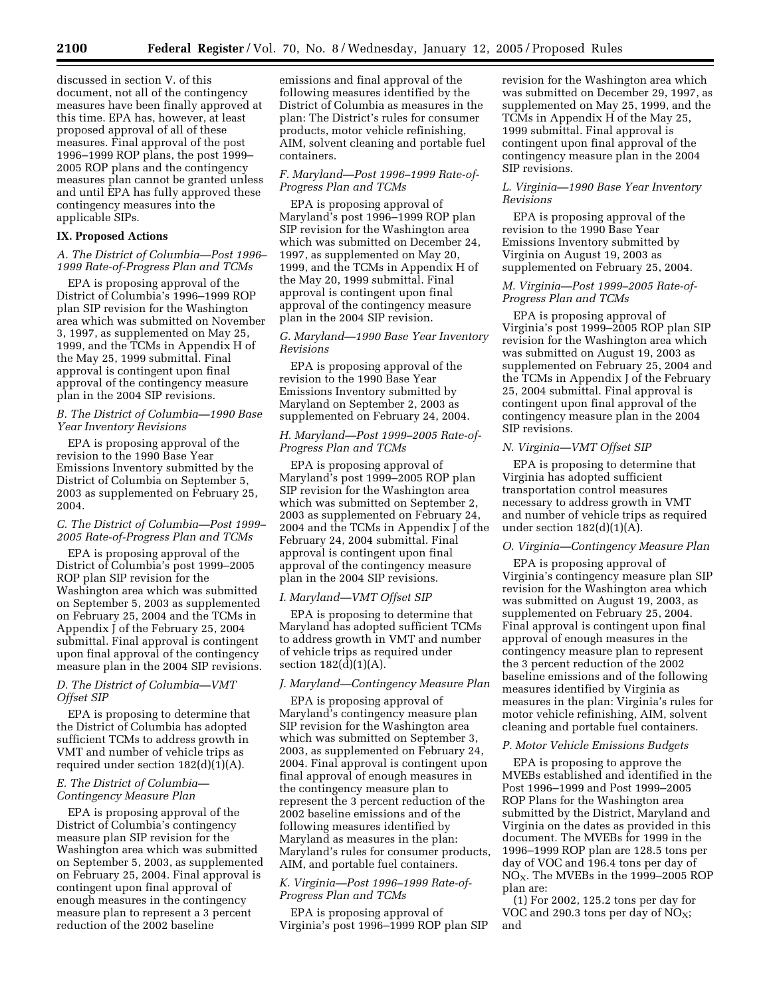discussed in section V. of this document, not all of the contingency measures have been finally approved at this time. EPA has, however, at least proposed approval of all of these measures. Final approval of the post 1996–1999 ROP plans, the post 1999– 2005 ROP plans and the contingency measures plan cannot be granted unless and until EPA has fully approved these contingency measures into the applicable SIPs.

### **IX. Proposed Actions**

#### *A. The District of Columbia—Post 1996– 1999 Rate-of-Progress Plan and TCMs*

EPA is proposing approval of the District of Columbia's 1996–1999 ROP plan SIP revision for the Washington area which was submitted on November 3, 1997, as supplemented on May 25, 1999, and the TCMs in Appendix H of the May 25, 1999 submittal. Final approval is contingent upon final approval of the contingency measure plan in the 2004 SIP revisions.

### *B. The District of Columbia—1990 Base Year Inventory Revisions*

EPA is proposing approval of the revision to the 1990 Base Year Emissions Inventory submitted by the District of Columbia on September 5, 2003 as supplemented on February 25, 2004.

### *C. The District of Columbia—Post 1999– 2005 Rate-of-Progress Plan and TCMs*

EPA is proposing approval of the District of Columbia's post 1999–2005 ROP plan SIP revision for the Washington area which was submitted on September 5, 2003 as supplemented on February 25, 2004 and the TCMs in Appendix J of the February 25, 2004 submittal. Final approval is contingent upon final approval of the contingency measure plan in the 2004 SIP revisions.

## *D. The District of Columbia—VMT Offset SIP*

EPA is proposing to determine that the District of Columbia has adopted sufficient TCMs to address growth in VMT and number of vehicle trips as required under section  $182(d)(1)(A)$ .

# *E. The District of Columbia— Contingency Measure Plan*

EPA is proposing approval of the District of Columbia's contingency measure plan SIP revision for the Washington area which was submitted on September 5, 2003, as supplemented on February 25, 2004. Final approval is contingent upon final approval of enough measures in the contingency measure plan to represent a 3 percent reduction of the 2002 baseline

emissions and final approval of the following measures identified by the District of Columbia as measures in the plan: The District's rules for consumer products, motor vehicle refinishing, AIM, solvent cleaning and portable fuel containers.

#### *F. Maryland—Post 1996–1999 Rate-of-Progress Plan and TCMs*

EPA is proposing approval of Maryland's post 1996–1999 ROP plan SIP revision for the Washington area which was submitted on December 24, 1997, as supplemented on May 20, 1999, and the TCMs in Appendix H of the May 20, 1999 submittal. Final approval is contingent upon final approval of the contingency measure plan in the 2004 SIP revision.

### *G. Maryland—1990 Base Year Inventory Revisions*

EPA is proposing approval of the revision to the 1990 Base Year Emissions Inventory submitted by Maryland on September 2, 2003 as supplemented on February 24, 2004.

### *H. Maryland—Post 1999–2005 Rate-of-Progress Plan and TCMs*

EPA is proposing approval of Maryland's post 1999–2005 ROP plan SIP revision for the Washington area which was submitted on September 2, 2003 as supplemented on February 24, 2004 and the TCMs in Appendix J of the February 24, 2004 submittal. Final approval is contingent upon final approval of the contingency measure plan in the 2004 SIP revisions.

#### *I. Maryland—VMT Offset SIP*

EPA is proposing to determine that Maryland has adopted sufficient TCMs to address growth in VMT and number of vehicle trips as required under section  $182(d)(1)(A)$ .

#### *J. Maryland—Contingency Measure Plan*

EPA is proposing approval of Maryland's contingency measure plan SIP revision for the Washington area which was submitted on September 3, 2003, as supplemented on February 24, 2004. Final approval is contingent upon final approval of enough measures in the contingency measure plan to represent the 3 percent reduction of the 2002 baseline emissions and of the following measures identified by Maryland as measures in the plan: Maryland's rules for consumer products, AIM, and portable fuel containers.

# *K. Virginia—Post 1996–1999 Rate-of-Progress Plan and TCMs*

EPA is proposing approval of Virginia's post 1996–1999 ROP plan SIP revision for the Washington area which was submitted on December 29, 1997, as supplemented on May 25, 1999, and the TCMs in Appendix H of the May 25, 1999 submittal. Final approval is contingent upon final approval of the contingency measure plan in the 2004 SIP revisions.

#### *L. Virginia—1990 Base Year Inventory Revisions*

EPA is proposing approval of the revision to the 1990 Base Year Emissions Inventory submitted by Virginia on August 19, 2003 as supplemented on February 25, 2004.

# *M. Virginia—Post 1999–2005 Rate-of-Progress Plan and TCMs*

EPA is proposing approval of Virginia's post 1999–2005 ROP plan SIP revision for the Washington area which was submitted on August 19, 2003 as supplemented on February 25, 2004 and the TCMs in Appendix J of the February 25, 2004 submittal. Final approval is contingent upon final approval of the contingency measure plan in the 2004 SIP revisions.

## *N. Virginia—VMT Offset SIP*

EPA is proposing to determine that Virginia has adopted sufficient transportation control measures necessary to address growth in VMT and number of vehicle trips as required under section  $182(d)(1)(A)$ .

#### *O. Virginia—Contingency Measure Plan*

EPA is proposing approval of Virginia's contingency measure plan SIP revision for the Washington area which was submitted on August 19, 2003, as supplemented on February 25, 2004. Final approval is contingent upon final approval of enough measures in the contingency measure plan to represent the 3 percent reduction of the 2002 baseline emissions and of the following measures identified by Virginia as measures in the plan: Virginia's rules for motor vehicle refinishing, AIM, solvent cleaning and portable fuel containers.

# *P. Motor Vehicle Emissions Budgets*

EPA is proposing to approve the MVEBs established and identified in the Post 1996–1999 and Post 1999–2005 ROP Plans for the Washington area submitted by the District, Maryland and Virginia on the dates as provided in this document. The MVEBs for 1999 in the 1996–1999 ROP plan are 128.5 tons per day of VOC and 196.4 tons per day of  $NO<sub>X</sub>$ . The MVEBs in the 1999–2005 ROP plan are:

(1) For 2002, 125.2 tons per day for VOC and 290.3 tons per day of  $NO<sub>X</sub>$ ; and